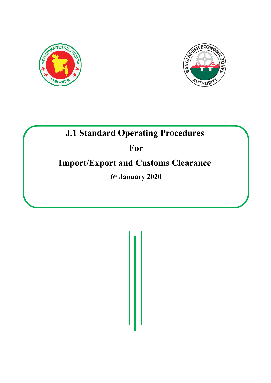



# **J.1 Standard Operating Procedures**

# **For**

# **Import/Export and Customs Clearance**

**6 th January 2020**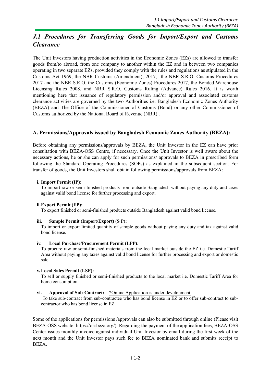# *J.1 Procedures for Transferring Goods for Import/Export and Customs Clearance*

The Unit Investors having production activities in the Economic Zones (EZs) are allowed to transfer goods from/to abroad, from one company to another within the EZ and in between two companies operating in two separate EZs, provided they comply with the rules and regulations as stipulated in the Customs Act 1969, the NBR Customs (Amendment), 2017, the NBR S.R.O. Customs Procedures 2017 and the NBR S.R.O. the Customs (Economic Zones) Procedures 2017, the Bonded Warehouse Licensing Rules 2008, and NBR S.R.O. Customs Ruling (Advance) Rules 2016. It is worth mentioning here that issuance of regulatory permission and/or approval and associated customs clearance activities are governed by the two Authorities i.e. Bangladesh Economic Zones Authority (BEZA) and The Office of the Commissioner of Customs (Bond) or any other Commissioner of Customs authorized by the National Board of Revenue (NBR) .

#### **A. Permissions/Approvals issued by Bangladesh Economic Zones Authority (BEZA):**

Before obtaining any permissions/approvals by BEZA, the Unit Investor in the EZ can have prior consultation with BEZA-OSS Centre, if necessary. Once the Unit Investor is well aware about the necessary actions, he or she can apply for such permissions/ approvals to BEZA in prescribed form following the Standard Operating Procedures (SOPs) as explained in the subsequent section. For transfer of goods, the Unit Investors shall obtain following permissions/approvals from BEZA:

#### **i. Import Permit (IP):**

To import raw or semi-finished products from outside Bangladesh without paying any duty and taxes against valid bond license for further processing and export.

#### **ii.Export Permit (EP):**

To export finished or semi-finished products outside Bangladesh against valid bond license.

#### **iii. Sample Permit (Import/Export) (S P):**

To import or export limited quantity of sample goods without paying any duty and tax against valid bond license.

#### **iv. Local Purchase/Procurement Permit (LPP):**

To procure raw or semi-finished materials from the local market outside the EZ i.e. Domestic Tariff Area without paying any taxes against valid bond license for further processing and export or domestic sale.

#### **v.Local Sales Permit (LSP):**

To sell or supply finished or semi-finished products to the local market i.e. Domestic Tariff Area for home consumption.

**vi. Approval of Sub-Contract:**  $*$ Online Application is under development.<br>To take sub-contract from sub-contractee who has bond license in EZ or to offer sub-contract to subcontractor who has bond license in EZ.

Some of the applications for permissions /approvals can also be submitted through online (Please visit BEZA-OSS website: <https://ossbeza.org/>). Regarding the payment of the application fees, BEZA-OSS Center issues monthly invoice against individual Unit Investor by email during the first week of the next month and the Unit Investor pays such fee to BEZA nominated bank and submits receipt to BEZA.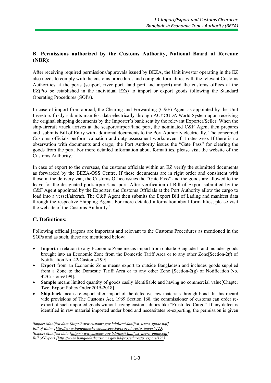#### **B. Permissions authorized by the Customs Authority, National Board of Revenue (NBR):**

After receiving required permissions/approvals issued by BEZA, the Unit investor operating in the EZ also needs to comply with the customs procedures and complete formalities with the relevant Customs Authorities at the ports (seaport, river port, land port and airport) and the customs offices at the EZ(\*to be established in the individual EZs) to import or export goods following the Standard Operating Procedures (SOPs).

In case of import from abroad, the Clearing and Forwarding (C&F) Agent as appointed by the Unit Investors firstly submits manifest data electrically through ACYCUDA World System upon receiving the original shipping documents by the Importer's bank sent by the relevant Exporter/Seller. When the ship/aircraft /truck arrives at the seaport/airport/land port, the nominated C&F Agent then prepares and submits Bill of Entry with additional documents to the Port Authority electrically. The concerned Customs officials perform valuation and duty assessment works even if it rates zero. If there is no observation with documents and cargo, the Port Authority issues the "Gate Pass" for clearing the goods from the port. For more detailed information about formalities, please visit the website of the Customs Authority.<sup>1</sup>

In case of export to the overseas, the customs officials within an EZ verify the submitted documents as forwarded by the BEZA-OSS Centre. If these documents are in right order and consistent with those in the delivery van, the Customs Office issues the "Gate Pass" and the goods are allowed to the leave for the designated port/airport/land port. After verification of Bill of Export submitted by the C&F Agent appointed by the Exporter, the Customs Officials at the Port Authority allow the cargo to load into a vessel/aircraft. The C&F Agent then submits the Export Bill of Lading and manifest data through the respective Shipping Agent. For more detailed information about formalities, please visit the website of the Customs Authority.<sup>2</sup>

#### **C. Definitions:**

Following official jargons are important and relevant to the Customs Procedures as mentioned in the SOPs and as such, these are mentioned below:

- **Import** in relation to any Economic Zone means import from outside Bangladesh and includes goods brought into an Economic Zone from the Domestic Tariff Area or to any other Zone[Section-2(f) of Notification No. 42/Customs/199].
- **Export** from an Economic Zone means export to outside Bangladesh and includes goods supplied from a Zone to the Domestic Tariff Area or to any other Zone [Section-2(g) of Notification No. 42/Customs/199].
- Sample means limited quantity of goods easily identifiable and having no commercial value[Chapter Two, Export Policy Order 2015-2018].
- **Ship-back** means re-export after import of the defective raw materials through bond. In this regard vide provisions of The Customs Act, 1969 Section 168, the commissioner of customs can order reexport of such imported goods without paying customs duties like "Frustrated Cargo". If any defect is identified in raw material imported under bond and necessitates re-exporting, the permission is given

*<sup>1</sup>Import Manifest data [http://www.customs.gov.bd/files/Manifest\_users\_guide.pdf] Bill of Entry [http://www.bangladeshcustoms.gov.bd/procedures/p\_import/123] <sup>2</sup>Export Manifest data [http://www.customs.gov.bd/files/Manifest\_users\_guide.pdf] Bill of Export [http://www.bangladeshcustoms.gov.bd/procedures/p\_export/123]*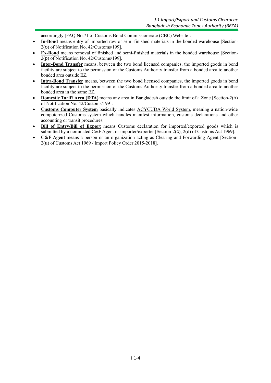accordingly [FAQ No.71 of Customs Bond Commissionerate (CBC) Website].

- **In-Bond** means entry of imported raw or semi-finished materials in the bonded warehouse [Section-2(o) of Notification No. 42/Customs/199].
- **Ex-Bond** means removal of finished and semi-finished materials in the bonded warehouse [Section-2(p) of Notification No. 42/Customs/199].
- **Inter-Bond Transfer** means, between the two bond licensed companies, the imported goods in bond facility are subject to the permission of the Customs Authority transfer from a bonded area to another bonded area outside EZ.
- **Intra-Bond Transfer** means, between the two bond licensed companies, the imported goods in bond facility are subject to the permission of the Customs Authority transfer from a bonded area to another bonded area in the same EZ.
- **Domestic Tariff Area (DTA)** means any area in Bangladesh outside the limit of a Zone [Section-2(h) of Notification No. 42/Customs/199].
- **Customs Computer System** basically indicates ACYCUDA World System, meaning a nation-wide computerized Customs system which handles manifest information, customs declarations and other accounting or transit procedures.
- **Bill of Entry/Bill of Export** means Customs declaration for imported/exported goods which is submitted by a nominated C&F Agent or importer/exporter [Section-2(c), 2(d) of Customs Act 1969].
- **C&F Agent** means a person or an organization acting as Clearing and Forwarding Agent [Section-2(a) of Customs Act 1969 / Import Policy Order 2015-2018].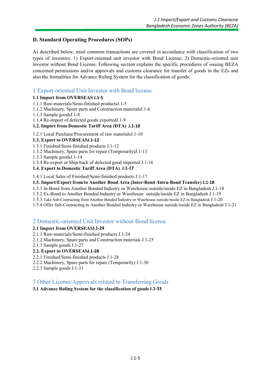#### **D. Standard Operating Procedures (SOPs)**

As described below, most common transactions are covered in accordance with classification of two types of investors: 1) Export-oriented unit investor with Bond License; 2) Domestic-oriented unit investor without Bond License. Following section explains the specific procedures of issuing BEZA concerned permissions and/or approvals and customs clearance for transfer of goods in the EZs and also the formalities for Advance Ruling System for the classification of goods:

#### 1 Export-oriented Unit Investor with Bond license

#### **1.1 Import from OVERSEAS J.1-5**

- 1.1.1 Raw-materials/Semi-finished productsJ.1-5
- 1.1.2 Machinery, Spare parts and Construction materialsJ.1-6
- 1.1.3 Sample goodsJ.1-8
- 1.1.4 Re-import of defected goods exportedJ.1-9
- **1.2. Import from Domestic Tariff Area (DTA) J.1-10**
- 1.2.1 Local Purchase/Procurement of raw materialsJ.1-10

#### **1.3. Export to OVERSEASJ.1-12**

- 1.3.1 Finished/Semi-finished products J.1-12
- 1.3.2 Machinery, Spare parts for repair (Temporarily)J.1-13
- 1.3.3 Sample goodsJ.1-14
- 1.3.4 Re-export or Ship-back of defected good imported J.1-16

#### **1.4. Export to Domestic Tariff Area (DTA) J.1-17**

1.4.1 Local Sales of Finished/Semi-finished products J.1-17

#### **1.5. Import/Export from/to Another Bond Area (Inter-Bond /Intra-Bond Transfer) J.1-18**

- 1.5.1 In-Bond from Another Bonded Industry or Warehouse outside/inside EZ in Bangladesh J.1-18
- 1.5.2 Ex-Bond to Another Bonded Industry or Warehouse outside/inside EZ in Bangladesh J.1-19
- 1.5.3 Take Sub-Contracting from Another Bonded Industry or Warehouse outside/inside EZ in Bangladesh J.1-20
- 1.5.4 Offer Sub-Contracting to Another Bonded Industry or Warehouse outside/inside EZ in Bangladesh J.1-21

#### 2 Domestic-oriented Unit Investor without Bond license

#### **2.1 Import from OVERSEASJ.1-24**

- 2.1.1 Raw-materials/Semi-finished products J.1-24
- 2.1.2 Machinery, Spare parts and Construction materials J.1-25
- 2.1.3 Sample goods J.1-27

#### **2.2. Export to OVERSEASJ.1-28**

- 2.2.1 Finished/Semi-finished products J.1-28
- 2.2.2 Machinery, Spare parts for repair (Temporarily) J.1-30
- 2.2.3 Sample goods J.1-31

#### 3 Other License/Approvals related to Transferring Goods

#### **3.1 Advance Ruling System for the classification of goods J.1-33**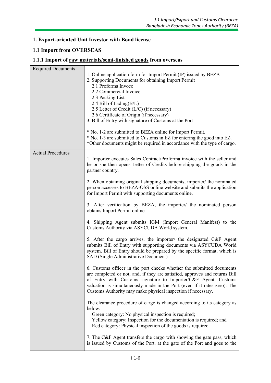#### **1. Export-oriented Unit Investor with Bond license**

#### **1.1 Import from OVERSEAS**

#### **1.1.1 Import of raw materials/semi-finished goods from overseas**

| <b>Required Documents</b> | 1. Online application form for Import Permit (IP) issued by BEZA<br>2. Supporting Documents for obtaining Import Permit<br>2.1 Proforma Invoce<br>2.2 Commercial Invoice<br>2.3 Packing List<br>2.4 Bill of Lading $(B/L)$<br>2.5 Letter of Credit (L/C) (if necessary)<br>2.6 Certificate of Origin (if necessary)<br>3. Bill of Entry with signature of Customs at the Port<br>* No. 1-2 are submitted to BEZA online for Import Permit.<br>* No. 1-3 are submitted to Customs in EZ for entering the good into EZ.<br>*Other documents might be required in accordance with the type of cargo. |
|---------------------------|---------------------------------------------------------------------------------------------------------------------------------------------------------------------------------------------------------------------------------------------------------------------------------------------------------------------------------------------------------------------------------------------------------------------------------------------------------------------------------------------------------------------------------------------------------------------------------------------------|
| <b>Actual Procedures</b>  |                                                                                                                                                                                                                                                                                                                                                                                                                                                                                                                                                                                                   |
|                           | 1. Importer executes Sales Contract/Proforma invoice with the seller and<br>he or she then opens Letter of Credits before shipping the goods in the<br>partner country.                                                                                                                                                                                                                                                                                                                                                                                                                           |
|                           | 2. When obtaining original shipping documents, importer/ the nominated<br>person accesses to BEZA-OSS online website and submits the application<br>for Import Permit with supporting documents online.                                                                                                                                                                                                                                                                                                                                                                                           |
|                           | 3. After verification by BEZA, the importer/ the nominated person<br>obtains Import Permit online.                                                                                                                                                                                                                                                                                                                                                                                                                                                                                                |
|                           | 4. Shipping Agent submits IGM (Import General Manifest) to the<br>Customs Authority via ASYCUDA World system.                                                                                                                                                                                                                                                                                                                                                                                                                                                                                     |
|                           | 5. After the cargo arrives, the importer/ the designated C&F Agent<br>submits Bill of Entry with supporting documents via ASYCUDA World<br>system. Bill of Entry should be prepared by the specific format, which is<br>SAD (Single Administrative Document).                                                                                                                                                                                                                                                                                                                                     |
|                           | 6. Customs officer in the port checks whether the submitted documents<br>are completed or not, and, if they are satisfied, approves and returns Bill<br>of Entry with Customs signature to Importer/C&F Agent. Customs<br>valuation is simultaneously made in the Port (even if it rates zero). The<br>Customs Authority may make physical inspection if necessary.                                                                                                                                                                                                                               |
|                           | The clearance procedure of cargo is changed according to its category as<br>below:<br>Green category: No physical inspection is required;<br>Yellow category: Inspection for the documentation is required; and<br>Red category: Physical inspection of the goods is required.                                                                                                                                                                                                                                                                                                                    |
|                           | 7. The C&F Agent transfers the cargo with showing the gate pass, which<br>is issued by Customs of the Port, at the gate of the Port and goes to the                                                                                                                                                                                                                                                                                                                                                                                                                                               |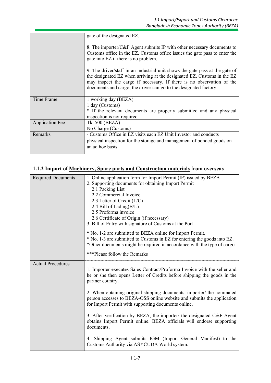|                        | gate of the designated EZ.<br>8. The importer/C&F Agent submits IP with other necessary documents to<br>Customs office in the EZ. Customs office issues the gate pass to enter the<br>gate into EZ if there is no problem.                                                                            |
|------------------------|-------------------------------------------------------------------------------------------------------------------------------------------------------------------------------------------------------------------------------------------------------------------------------------------------------|
|                        | 9. The driver/staff in an industrial unit shows the gate pass at the gate of<br>the designated EZ when arriving at the designated EZ. Customs in the EZ<br>may inspect the cargo if necessary. If there is no observation of the<br>documents and cargo, the driver can go to the designated factory. |
| Time Frame             | 1 working day (BEZA)<br>1 day (Customs)<br>* If the relevant documents are properly submitted and any physical<br>inspection is not required                                                                                                                                                          |
| <b>Application Fee</b> | Tk. 500 (BEZA)<br>No Charge (Customs)                                                                                                                                                                                                                                                                 |
| Remarks                | - Customs Office in EZ visits each EZ Unit Investor and conducts<br>physical inspection for the storage and management of bonded goods on<br>an ad hoc basis.                                                                                                                                         |

# **1.1.2 Import of Machinery, Spare parts and Construction materials from overseas**

| <b>Required Documents</b> | 1. Online application form for Import Permit (IP) issued by BEZA         |
|---------------------------|--------------------------------------------------------------------------|
|                           | 2. Supporting documents for obtaining Import Permit                      |
|                           | 2.1 Packing List                                                         |
|                           | 2.2 Commercial Invoice                                                   |
|                           | 2.3 Letter of Credit (L/C)                                               |
|                           | 2.4 Bill of Lading(B/L)                                                  |
|                           | 2.5 Proforma invoice                                                     |
|                           | 2.6 Certificate of Origin (if necessary)                                 |
|                           | 3. Bill of Entry with signature of Customs at the Port                   |
|                           | * No. 1-2 are submitted to BEZA online for Import Permit.                |
|                           | * No. 1-3 are submitted to Customs in EZ for entering the goods into EZ. |
|                           | *Other documents might be required in accordance with the type of cargo  |
|                           |                                                                          |
|                           | ***Please follow the Remarks                                             |
| <b>Actual Procedures</b>  |                                                                          |
|                           | 1. Importer executes Sales Contract/Proforma Invoice with the seller and |
|                           | he or she then opens Letter of Credits before shipping the goods in the  |
|                           | partner country.                                                         |
|                           |                                                                          |
|                           | 2. When obtaining original shipping documents, importer/ the nominated   |
|                           | person accesses to BEZA-OSS online website and submits the application   |
|                           | for Import Permit with supporting documents online.                      |
|                           | 3. After verification by BEZA, the importer/ the designated C&F Agent    |
|                           | obtains Import Permit online. BEZA officials will endorse supporting     |
|                           | documents.                                                               |
|                           |                                                                          |
|                           | 4. Shipping Agent submits IGM (Import General Manifest) to the           |
|                           | Customs Authority via ASYCUDA World system.                              |
|                           |                                                                          |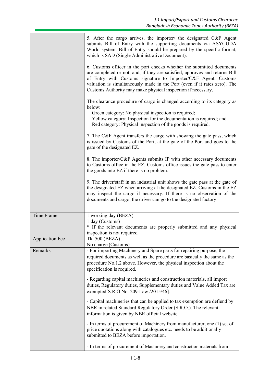|                        | 5. After the cargo arrives, the importer/ the designated C&F Agent<br>submits Bill of Entry with the supporting documents via ASYCUDA<br>World system. Bill of Entry should be prepared by the specific format,<br>which is SAD (Single Administrative Document).                                                                                                   |  |
|------------------------|---------------------------------------------------------------------------------------------------------------------------------------------------------------------------------------------------------------------------------------------------------------------------------------------------------------------------------------------------------------------|--|
|                        | 6. Customs officer in the port checks whether the submitted documents<br>are completed or not, and, if they are satisfied, approves and returns Bill<br>of Entry with Customs signature to Importer/C&F Agent. Customs<br>valuation is simultaneously made in the Port (even if it rates zero). The<br>Customs Authority may make physical inspection if necessary. |  |
|                        | The clearance procedure of cargo is changed according to its category as<br>below:<br>Green category: No physical inspection is required;<br>Yellow category: Inspection for the documentation is required; and<br>Red category: Physical inspection of the goods is required.                                                                                      |  |
|                        | 7. The C&F Agent transfers the cargo with showing the gate pass, which<br>is issued by Customs of the Port, at the gate of the Port and goes to the<br>gate of the designated EZ.                                                                                                                                                                                   |  |
|                        | 8. The importer/C&F Agents submits IP with other necessary documents<br>to Customs office in the EZ. Customs office issues the gate pass to enter<br>the goods into EZ if there is no problem.                                                                                                                                                                      |  |
|                        | 9. The driver/staff in an industrial unit shows the gate pass at the gate of<br>the designated EZ when arriving at the designated EZ. Customs in the EZ<br>may inspect the cargo if necessary. If there is no observation of the<br>documents and cargo, the driver can go to the designated factory.                                                               |  |
| Time Frame             | 1 working day (BEZA)<br>1 day (Customs)<br>* If the relevant documents are properly submitted and any physical<br>inspection is not required                                                                                                                                                                                                                        |  |
| <b>Application Fee</b> | Tk. 500 (BEZA)<br>No charge (Customs)                                                                                                                                                                                                                                                                                                                               |  |
| Remarks                | - For importing Machinery and Spare parts for repairing purpose, the<br>required documents as well as the procedure are basically the same as the<br>procedure No.1.2 above. However, the physical inspection about the<br>specification is required.                                                                                                               |  |
|                        | - Regarding capital machineries and construction materials, all import<br>duties, Regulatory duties, Supplementary duties and Value Added Tax are<br>exempted[S.R.O No. 209-Law /2015/46].                                                                                                                                                                          |  |
|                        | - Capital machineries that can be applied to tax exemption are defiend by<br>NBR in related Standard Regulatory Order (S.R.O.). The relevant<br>information is given by NBR official website.                                                                                                                                                                       |  |
|                        | - In terms of procurement of Machinery from manufacturer, one (1) set of<br>price quotations along with catalogues etc. needs to be additionally<br>submitted to BEZA before importation.                                                                                                                                                                           |  |
|                        | - In terms of procurement of Machinery and construction materials from                                                                                                                                                                                                                                                                                              |  |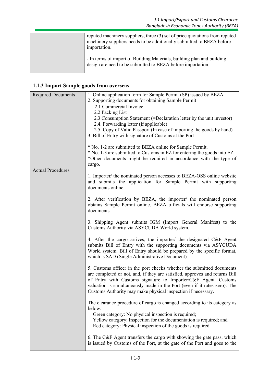| reputed machinery suppliers, three (3) set of price quotations from reputed<br>machinery suppliers needs to be additionally submitted to BEZA before<br>importation. |  |
|----------------------------------------------------------------------------------------------------------------------------------------------------------------------|--|
| - In terms of import of Building Materials, building plan and building<br>design are need to be submitted to BEZA before importation.                                |  |

# **1.1.3 Import Sample goods from overseas**

| <b>Required Documents</b> | 1. Online application form for Sample Permit (SP) issued by BEZA<br>2. Supporting documents for obtaining Sample Permit<br>2.1 Commercial Invoice<br>2.2 Packing List<br>2.3 Consumption Statement (=Declaration letter by the unit investor)<br>2.4. Forwarding letter (if applicable)<br>2.5. Copy of Valid Passport (In case of importing the goods by hand)<br>3. Bill of Entry with signature of Customs at the Port<br>* No. 1-2 are submitted to BEZA online for Sample Permit.<br>* No. 1-3 are submitted to Customs in EZ for entering the goods into EZ.<br>*Other documents might be required in accordance with the type of<br>cargo. |  |
|---------------------------|---------------------------------------------------------------------------------------------------------------------------------------------------------------------------------------------------------------------------------------------------------------------------------------------------------------------------------------------------------------------------------------------------------------------------------------------------------------------------------------------------------------------------------------------------------------------------------------------------------------------------------------------------|--|
| <b>Actual Procedures</b>  |                                                                                                                                                                                                                                                                                                                                                                                                                                                                                                                                                                                                                                                   |  |
|                           | 1. Importer/ the nominated person accesses to BEZA-OSS online website<br>and submits the application for Sample Permit with supporting<br>documents online.                                                                                                                                                                                                                                                                                                                                                                                                                                                                                       |  |
|                           | 2. After verification by BEZA, the importer/ the nominated person<br>obtains Sample Permit online. BEZA officials will endorse supporting<br>documents.                                                                                                                                                                                                                                                                                                                                                                                                                                                                                           |  |
|                           | 3. Shipping Agent submits IGM (Import General Manifest) to the<br>Customs Authority via ASYCUDA World system.                                                                                                                                                                                                                                                                                                                                                                                                                                                                                                                                     |  |
|                           | 4. After the cargo arrives, the importer/ the designated C&F Agent<br>submits Bill of Entry with the supporting documents via ASYCUDA<br>World system. Bill of Entry should be prepared by the specific format,<br>which is SAD (Single Administrative Document).                                                                                                                                                                                                                                                                                                                                                                                 |  |
|                           | 5. Customs officer in the port checks whether the submitted documents<br>are completed or not, and, if they are satisfied, approves and returns Bill<br>of Entry with Customs signature to Importer/C&F Agent. Customs<br>valuation is simultaneously made in the Port (even if it rates zero). The<br>Customs Authority may make physical inspection if necessary.                                                                                                                                                                                                                                                                               |  |
|                           | The clearance procedure of cargo is changed according to its category as<br>below:<br>Green category: No physical inspection is required;<br>Yellow category: Inspection for the documentation is required; and<br>Red category: Physical inspection of the goods is required.                                                                                                                                                                                                                                                                                                                                                                    |  |
|                           | 6. The C&F Agent transfers the cargo with showing the gate pass, which<br>is issued by Customs of the Port, at the gate of the Port and goes to the                                                                                                                                                                                                                                                                                                                                                                                                                                                                                               |  |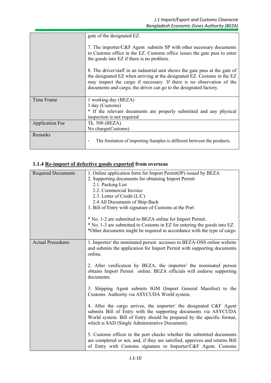|                        | gate of the designated EZ.                                                                                                                                                                                                                                                                            |
|------------------------|-------------------------------------------------------------------------------------------------------------------------------------------------------------------------------------------------------------------------------------------------------------------------------------------------------|
|                        | 7. The importer/C&F Agent submits SP with other necessary documents<br>to Customs office in the EZ. Customs office issues the gate pass to enter<br>the goods into EZ if there is no problem.                                                                                                         |
|                        | 8. The driver/staff in an industrial unit shows the gate pass at the gate of<br>the designated EZ when arriving at the designated EZ. Customs in the EZ<br>may inspect the cargo if necessary. If there is no observation of the<br>documents and cargo, the driver can go to the designated factory. |
| Time Frame             | 1 working day (BEZA)<br>1 day (Customs)<br>* If the relevant documents are properly submitted and any physical<br>inspection is not required                                                                                                                                                          |
| <b>Application Fee</b> | Tk. 500 (BEZA)<br>No charge (Customs)                                                                                                                                                                                                                                                                 |
| Remarks                | The limitation of importing Samples is different between the products.                                                                                                                                                                                                                                |

# **1.1.4 Re-import of defective goods exported from overseas**

| <b>Required Documents</b> | 1. Online application form for Import Permit(IP) issued by BEZA                                                                                                                                                                                                   |
|---------------------------|-------------------------------------------------------------------------------------------------------------------------------------------------------------------------------------------------------------------------------------------------------------------|
|                           | 2. Supporting documents for obtaining Import Permit                                                                                                                                                                                                               |
|                           | 2.1. Packing List                                                                                                                                                                                                                                                 |
|                           | 2.2. Commercial Invoice                                                                                                                                                                                                                                           |
|                           | 2.3. Letter of Credit $(L/C)$                                                                                                                                                                                                                                     |
|                           | 2.4 All Documents of Ship-Back                                                                                                                                                                                                                                    |
|                           | 3. Bill of Entry with signature of Customs at the Port                                                                                                                                                                                                            |
|                           | * No. 1-2 are submitted to BEZA online for Import Permit.                                                                                                                                                                                                         |
|                           | * No. 1-3 are submitted to Customs in EZ for entering the goods into EZ.                                                                                                                                                                                          |
|                           | *Other documents might be required in accordance with the type of cargo                                                                                                                                                                                           |
| <b>Actual Procedures</b>  | 1. Importer/ the nominated person accesses to BEZA-OSS online website<br>and submits the application for Import Permit with supporting documents<br>online.                                                                                                       |
|                           | 2. After verification by BEZA, the importer/ the nominated person<br>obtains Import Permit online. BEZA officials will endorse supporting<br>documents.                                                                                                           |
|                           | 3. Shipping Agent submits IGM (Import General Manifest) to the<br>Customs Authority via ASYCUDA World system.                                                                                                                                                     |
|                           | 4. After the cargo arrives, the importer/ the designated C&F Agent<br>submits Bill of Entry with the supporting documents via ASYCUDA<br>World system. Bill of Entry should be prepared by the specific format,<br>which is SAD (Single Administrative Document). |
|                           | 5. Customs officer in the port checks whether the submitted documents<br>are completed or not, and, if they are satisfied, approves and returns Bill<br>of Entry with Customs signature to Importer/C&F Agent. Customs                                            |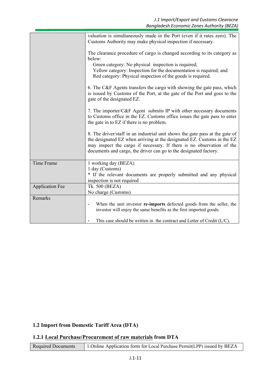|                        | valuation is simultaneously made in the Port (even if it rates zero). The<br>Customs Authority may make physical inspection if necessary.                                                                                                                                                             |
|------------------------|-------------------------------------------------------------------------------------------------------------------------------------------------------------------------------------------------------------------------------------------------------------------------------------------------------|
|                        | The clearance procedure of cargo is changed according to its category as<br>below:<br>Green category: No physical inspection is required;<br>Yellow category: Inspection for the documentation is required; and<br>Red category: Physical inspection of the goods is required.                        |
|                        | 6. The C&F Agents transfers the cargo with showing the gate pass, which<br>is issued by Customs of the Port, at the gate of the Port and goes to the<br>gate of the designated EZ.                                                                                                                    |
|                        | 7. The importer/C&F Agent submits IP with other necessary documents<br>to Customs office in the EZ. Customs office issues the gate pass to enter<br>the gate in to EZ if there is no problem.                                                                                                         |
|                        | 8. The driver/staff in an industrial unit shows the gate pass at the gate of<br>the designated EZ when arriving at the designated EZ. Customs in the EZ<br>may inspect the cargo if necessary. If there is no observation of the<br>documents and cargo, the driver can go to the designated factory. |
| Time Frame             | 1 working day (BEZA)<br>1 day (Customs)<br>* If the relevant documents are properly submitted and any physical<br>inspection is not required                                                                                                                                                          |
| <b>Application Fee</b> | Tk. 500 (BEZA)<br>No charge (Customs)                                                                                                                                                                                                                                                                 |
| Remarks                |                                                                                                                                                                                                                                                                                                       |
|                        | When the unit investor re-imports defected goods from the seller, the<br>$\overline{a}$<br>investor will enjoy the same benefits as the first imported goods.                                                                                                                                         |
|                        | This case should be written in the contract and Letter of Credit $(L/C)$ .                                                                                                                                                                                                                            |

### **1.2 Import from Domestic Tariff Area (DTA)**

#### **1.2.1 Local Purchase/Procurement of raw materials from DTA**

Required Documents 1.Online Application form for Local Purchase Permit(LPP) issued by BEZA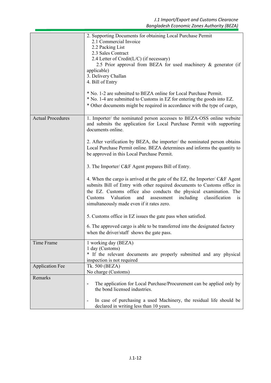|                          | 2. Supporting Documents for obtaining Local Purchase Permit<br>2.1 Commercial Invoice<br>2.2 Packing List<br>2.3 Sales Contract<br>2.4 Letter of Credit(L/C) (if necessary)<br>2.5 Prior approval from BEZA for used machinery & generator (if<br>applicable)<br>3. Delivery Challan<br>4. Bill of Entry<br>* No. 1-2 are submitted to BEZA online for Local Purchase Permit.<br>* No. 1-4 are submitted to Customs in EZ for entering the goods into EZ.<br>* Other documents might be required in accordance with the type of cargo.                                                                                       |
|--------------------------|------------------------------------------------------------------------------------------------------------------------------------------------------------------------------------------------------------------------------------------------------------------------------------------------------------------------------------------------------------------------------------------------------------------------------------------------------------------------------------------------------------------------------------------------------------------------------------------------------------------------------|
| <b>Actual Procedures</b> | 1. Importer/ the nominated person accesses to BEZA-OSS online website<br>and submits the application for Local Purchase Permit with supporting<br>documents online.<br>2. After verification by BEZA, the importer/ the nominated person obtains<br>Local Purchase Permit online. BEZA determines and informs the quantity to<br>be approved in this Local Purchase Permit.                                                                                                                                                                                                                                                  |
|                          | 3. The Importer/ C&F Agent prepares Bill of Entry.<br>4. When the cargo is arrived at the gate of the EZ, the Importer/ C&F Agent<br>submits Bill of Entry with other required documents to Customs office in<br>the EZ. Customs office also conducts the physical examination. The<br>Valuation<br>including<br>classification<br>Customs<br>and<br>assessment<br>i <sub>S</sub><br>simultaneously made even if it rates zero.<br>5. Customs office in EZ issues the gate pass when satisfied.<br>6. The approved cargo is able to be transferred into the designated factory<br>when the driver/staff shows the gate pass. |
| <b>Time Frame</b>        | 1 working day (BEZA)<br>1 day (Customs)<br>* If the relevant documents are properly submitted and any physical<br>inspection is not required                                                                                                                                                                                                                                                                                                                                                                                                                                                                                 |
| <b>Application Fee</b>   | Tk. 500 (BEZA)<br>No charge (Customs)                                                                                                                                                                                                                                                                                                                                                                                                                                                                                                                                                                                        |
| Remarks                  | The application for Local Purchase/Procurement can be applied only by<br>$\overline{\phantom{a}}$<br>the bond licensed industries.<br>In case of purchasing a used Machinery, the residual life should be<br>declared in writing less than 10 years.                                                                                                                                                                                                                                                                                                                                                                         |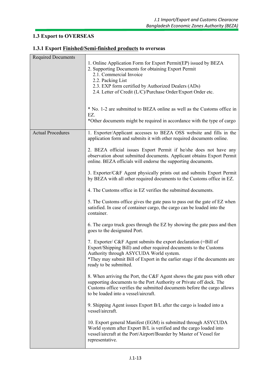#### **1.3 Export to OVERSEAS**

| <b>Required Documents</b> | 1. Online Application Form for Export Permit(EP) issued by BEZA<br>2. Supporting Documents for obtaining Export Permit<br>2.1. Commercial Invoice<br>2.2. Packing List                                                                                                                 |
|---------------------------|----------------------------------------------------------------------------------------------------------------------------------------------------------------------------------------------------------------------------------------------------------------------------------------|
|                           | 2.3. EXP form certified by Authorized Dealers (ADs)<br>2.4. Letter of Credit (L/C)/Purchase Order/Export Order etc.                                                                                                                                                                    |
|                           | * No. 1-2 are submitted to BEZA online as well as the Customs office in<br>EZ.<br>*Other documents might be required in accordance with the type of cargo                                                                                                                              |
|                           |                                                                                                                                                                                                                                                                                        |
| <b>Actual Procedures</b>  | 1. Exporter/Applicant accesses to BEZA OSS website and fills in the<br>application form and submits it with other required documents online.                                                                                                                                           |
|                           | 2. BEZA official issues Export Permit if he/she does not have any<br>observation about submitted documents. Applicant obtains Export Permit<br>online. BEZA officials will endorse the supporting documents.                                                                           |
|                           | 3. Exporter/C&F Agent physically prints out and submits Export Permit<br>by BEZA with all other required documents to the Customs office in EZ.                                                                                                                                        |
|                           | 4. The Customs office in EZ verifies the submitted documents.                                                                                                                                                                                                                          |
|                           | 5. The Customs office gives the gate pass to pass out the gate of EZ when<br>satisfied. In case of container cargo, the cargo can be loaded into the<br>container.                                                                                                                     |
|                           | 6. The cargo truck goes through the EZ by showing the gate pass and then<br>goes to the designated Port.                                                                                                                                                                               |
|                           | 7. Exporter/ C&F Agent submits the export declaration (=Bill of<br>Export/Shipping Bill) and other required documents to the Customs<br>Authority through ASYCUDA World system.<br>*They may submit Bill of Export in the earlier stage if the documents are<br>ready to be submitted. |
|                           | 8. When arriving the Port, the C&F Agent shows the gate pass with other<br>supporting documents to the Port Authority or Private off dock. The<br>Customs office verifies the submitted documents before the cargo allows<br>to be loaded into a vessel/aircraft.                      |
|                           | 9. Shipping Agent issues Export B/L after the cargo is loaded into a<br>vessel/aircraft.                                                                                                                                                                                               |
|                           | 10. Export general Manifest (EGM) is submitted through ASYCUDA<br>World system after Export B/L is verified and the cargo loaded into<br>vessel/aircraft at the Port/Airport/Boarder by Master of Vessel for<br>representative.                                                        |

# **1.3.1 Export Finished/Semi-finished products to overseas**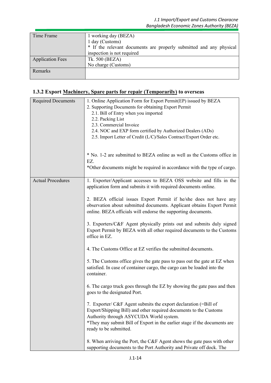| Time Frame              | 1 working day (BEZA)                                                |
|-------------------------|---------------------------------------------------------------------|
|                         | 1 day (Customs)                                                     |
|                         | * If the relevant documents are properly submitted and any physical |
|                         | inspection is not required                                          |
| <b>Application Fees</b> | Tk. 500 (BEZA)                                                      |
|                         | No charge (Customs)                                                 |
| <b>Remarks</b>          |                                                                     |
|                         |                                                                     |

# **1.3.2 Export Machinery, Spare parts for repair (Temporarily) to overseas**

| <b>Required Documents</b> | 1. Online Application Form for Export Permit(EP) issued by BEZA<br>2. Supporting Documents for obtaining Export Permit<br>2.1. Bill of Entry when you imported<br>2.2. Packing List<br>2.3. Commercial Invoice<br>2.4. NOC and EXP form certified by Authorized Dealers (ADs)<br>2.5. Import Letter of Credit (L/C)/Sales Contract/Export Order etc. |
|---------------------------|------------------------------------------------------------------------------------------------------------------------------------------------------------------------------------------------------------------------------------------------------------------------------------------------------------------------------------------------------|
|                           | * No. 1-2 are submitted to BEZA online as well as the Customs office in<br>EZ.<br>*Other documents might be required in accordance with the type of cargo.                                                                                                                                                                                           |
| <b>Actual Procedures</b>  | 1. Exporter/Applicant accesses to BEZA OSS website and fills in the<br>application form and submits it with required documents online.                                                                                                                                                                                                               |
|                           | 2. BEZA official issues Export Permit if he/she does not have any<br>observation about submitted documents. Applicant obtains Export Permit<br>online. BEZA officials will endorse the supporting documents.                                                                                                                                         |
|                           | 3. Exporters/C&F Agent physically prints out and submits duly signed<br>Export Permit by BEZA with all other required documents to the Customs<br>office in EZ.                                                                                                                                                                                      |
|                           | 4. The Customs Office at EZ verifies the submitted documents.                                                                                                                                                                                                                                                                                        |
|                           | 5. The Customs office gives the gate pass to pass out the gate at EZ when<br>satisfied. In case of container cargo, the cargo can be loaded into the<br>container.                                                                                                                                                                                   |
|                           | 6. The cargo truck goes through the EZ by showing the gate pass and then<br>goes to the designated Port.                                                                                                                                                                                                                                             |
|                           | 7. Exporter/ C&F Agent submits the export declaration (=Bill of<br>Export/Shipping Bill) and other required documents to the Customs<br>Authority through ASYCUDA World system.<br>*They may submit Bill of Export in the earlier stage if the documents are<br>ready to be submitted.                                                               |
|                           | 8. When arriving the Port, the C&F Agent shows the gate pass with other<br>supporting documents to the Port Authority and Private off dock. The                                                                                                                                                                                                      |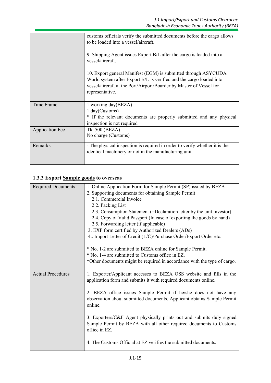|                        | customs officials verify the submitted documents before the cargo allows<br>to be loaded into a vessel/aircraft.<br>9. Shipping Agent issues Export B/L after the cargo is loaded into a<br>vessel/aircraft.<br>10. Export general Manifest (EGM) is submitted through ASYCUDA<br>World system after Export B/L is verified and the cargo loaded into<br>vessel/aircraft at the Port/Airport/Boarder by Master of Vessel for<br>representative. |
|------------------------|-------------------------------------------------------------------------------------------------------------------------------------------------------------------------------------------------------------------------------------------------------------------------------------------------------------------------------------------------------------------------------------------------------------------------------------------------|
| Time Frame             | 1 working day(BEZA)<br>1 day(Customs)<br>* If the relevant documents are properly submitted and any physical<br>inspection is not required                                                                                                                                                                                                                                                                                                      |
| <b>Application Fee</b> | Tk. 500 (BEZA)<br>No charge (Customs)                                                                                                                                                                                                                                                                                                                                                                                                           |
| Remarks                | - The physical inspection is required in order to verify whether it is the<br>identical machinery or not in the manufacturing unit.                                                                                                                                                                                                                                                                                                             |

# **1.3.3 Export Sample goods to overseas**

| <b>Required Documents</b> | 1. Online Application Form for Sample Permit (SP) issued by BEZA<br>2. Supporting documents for obtaining Sample Permit<br>2.1. Commercial Invoice<br>2.2. Packing List<br>2.3. Consumption Statement (=Declaration letter by the unit investor)<br>2.4. Copy of Valid Passport (In case of exporting the goods by hand)<br>2.5. Forwarding letter (if applicable)<br>3. EXP form certified by Authorized Dealers (ADs)<br>4. Import Letter of Credit (L/C)/Purchase Order/Export Order etc. |
|---------------------------|----------------------------------------------------------------------------------------------------------------------------------------------------------------------------------------------------------------------------------------------------------------------------------------------------------------------------------------------------------------------------------------------------------------------------------------------------------------------------------------------|
|                           | * No. 1-2 are submitted to BEZA online for Sample Permit.<br>* No. 1-4 are submitted to Customs office in EZ.<br>*Other documents might be required in accordance with the type of cargo.                                                                                                                                                                                                                                                                                                    |
| <b>Actual Procedures</b>  | 1. Exporter/Applicant accesses to BEZA OSS website and fills in the<br>application form and submits it with required documents online.<br>2. BEZA office issues Sample Permit if he/she does not have any<br>observation about submitted documents. Applicant obtains Sample Permit<br>online.                                                                                                                                                                                               |
|                           | 3. Exporters/C&F Agent physically prints out and submits duly signed<br>Sample Permit by BEZA with all other required documents to Customs<br>office in EZ.                                                                                                                                                                                                                                                                                                                                  |
|                           | 4. The Customs Official at EZ verifies the submitted documents.                                                                                                                                                                                                                                                                                                                                                                                                                              |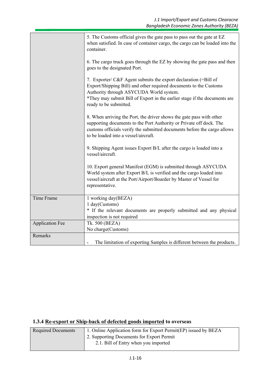|                        | 5. The Customs official gives the gate pass to pass out the gate at EZ<br>when satisfied. In case of container cargo, the cargo can be loaded into the<br>container.                                                                                                                   |
|------------------------|----------------------------------------------------------------------------------------------------------------------------------------------------------------------------------------------------------------------------------------------------------------------------------------|
|                        | 6. The cargo truck goes through the EZ by showing the gate pass and then<br>goes to the designated Port.                                                                                                                                                                               |
|                        | 7. Exporter/ C&F Agent submits the export declaration (=Bill of<br>Export/Shipping Bill) and other required documents to the Customs<br>Authority through ASYCUDA World system.<br>*They may submit Bill of Export in the earlier stage if the documents are<br>ready to be submitted. |
|                        | 8. When arriving the Port, the driver shows the gate pass with other<br>supporting documents to the Port Authority or Private off dock. The<br>customs officials verify the submitted documents before the cargo allows<br>to be loaded into a vessel/aircraft.                        |
|                        | 9. Shipping Agent issues Export B/L after the cargo is loaded into a<br>vessel/aircraft.                                                                                                                                                                                               |
|                        | 10. Export general Manifest (EGM) is submitted through ASYCUDA<br>World system after Export B/L is verified and the cargo loaded into<br>vessel/aircraft at the Port/Airport/Boarder by Master of Vessel for<br>representative.                                                        |
| Time Frame             | 1 working day(BEZA)<br>1 day(Customs)<br>* If the relevant documents are properly submitted and any physical<br>inspection is not required                                                                                                                                             |
| <b>Application Fee</b> | Tk. 500 (BEZA)                                                                                                                                                                                                                                                                         |
|                        | No charge(Customs)                                                                                                                                                                                                                                                                     |
| Remarks                | The limitation of exporting Samples is different between the products.                                                                                                                                                                                                                 |

# **1.3.4 Re-export or Ship-back of defected goods imported to overseas**

| <b>Required Documents</b> | 1. Online Application form for Export Permit(EP) issued by BEZA |
|---------------------------|-----------------------------------------------------------------|
|                           | 2. Supporting Documents for Export Permit                       |
|                           | 2.1. Bill of Entry when you imported                            |
|                           |                                                                 |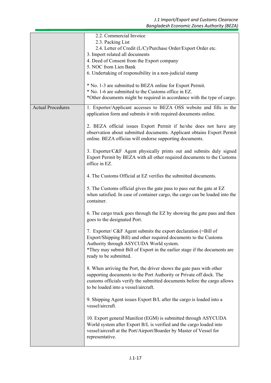|                          | 2.2. Commercial Invoice                                                                                                                                                                                                                                                                |  |
|--------------------------|----------------------------------------------------------------------------------------------------------------------------------------------------------------------------------------------------------------------------------------------------------------------------------------|--|
|                          | 2.3. Packing List<br>2.4. Letter of Credit (L/C)/Purchase Order/Export Order etc.                                                                                                                                                                                                      |  |
|                          | 3. Import related all documents                                                                                                                                                                                                                                                        |  |
|                          | 4. Deed of Consent from the Export company                                                                                                                                                                                                                                             |  |
|                          | 5. NOC from Lien Bank                                                                                                                                                                                                                                                                  |  |
|                          | 6. Undertaking of responsibility in a non-judicial stamp                                                                                                                                                                                                                               |  |
|                          | * No. 1-3 are submitted to BEZA online for Export Permit.<br>* No. 1-6 are submitted to the Customs office in EZ.<br>*Other documents might be required in accordance with the type of cargo.                                                                                          |  |
| <b>Actual Procedures</b> | 1. Exporter/Applicant accesses to BEZA OSS website and fills in the<br>application form and submits it with required documents online.                                                                                                                                                 |  |
|                          | 2. BEZA official issues Export Permit if he/she does not have any<br>observation about submitted documents. Applicant obtains Export Permit<br>online. BEZA officias will endorse supporting documents.                                                                                |  |
|                          | 3. Exporter/C&F Agent physically prints out and submits duly signed<br>Export Permit by BEZA with all other required documents to the Customs<br>office in EZ.                                                                                                                         |  |
|                          | 4. The Customs Official at EZ verifies the submitted documents.                                                                                                                                                                                                                        |  |
|                          | 5. The Customs official gives the gate pass to pass out the gate at EZ<br>when satisfied. In case of container cargo, the cargo can be loaded into the<br>container.                                                                                                                   |  |
|                          | 6. The cargo truck goes through the EZ by showing the gate pass and then<br>goes to the designated Port.                                                                                                                                                                               |  |
|                          | 7. Exporter/ C&F Agent submits the export declaration (=Bill of<br>Export/Shipping Bill) and other required documents to the Customs<br>Authority through ASYCUDA World system.<br>*They may submit Bill of Export in the earlier stage if the documents are<br>ready to be submitted. |  |
|                          | 8. When arriving the Port, the driver shows the gate pass with other<br>supporting documents to the Port Authority or Private off dock. The<br>customs officials verify the submitted documents before the cargo allows<br>to be loaded into a vessel/aircraft.                        |  |
|                          | 9. Shipping Agent issues Export B/L after the cargo is loaded into a<br>vessel/aircraft.                                                                                                                                                                                               |  |
|                          | 10. Export general Manifest (EGM) is submitted through ASYCUDA<br>World system after Export B/L is verified and the cargo loaded into<br>vessel/aircraft at the Port/Airport/Boarder by Master of Vessel for<br>representative.                                                        |  |
|                          |                                                                                                                                                                                                                                                                                        |  |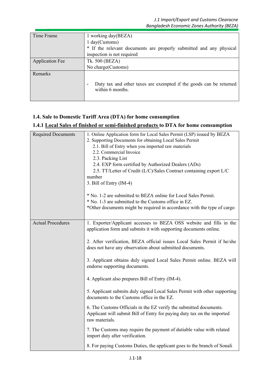| Time Frame             | 1 working day(BEZA)                                                                                                |
|------------------------|--------------------------------------------------------------------------------------------------------------------|
|                        | 1 day(Customs)                                                                                                     |
|                        | * If the relevant documents are properly submitted and any physical                                                |
|                        | inspection is not required                                                                                         |
| <b>Application Fee</b> | Tk. 500 (BEZA)                                                                                                     |
|                        | No charge (Customs)                                                                                                |
| <b>Remarks</b>         | Duty tax and other taxes are exempted if the goods can be returned<br>$\overline{\phantom{a}}$<br>within 6 months. |

#### **1.4. Sale to Domestic Tariff Area (DTA) for home consumption**

## **1.4.1 Local Sales of finished or semi-finished products to DTA for home comsumption**

| <b>Required Documents</b> | 1. Online Application form for Local Sales Permit (LSP) issued by BEZA                    |
|---------------------------|-------------------------------------------------------------------------------------------|
|                           | 2. Supporting Documents for obtaining Local Sales Permit                                  |
|                           | 2.1. Bill of Entry when you imported raw materials                                        |
|                           | 2.2. Commercial Invoice                                                                   |
|                           | 2.3. Packing List                                                                         |
|                           | 2.4. EXP form certified by Authorized Dealers (ADs)                                       |
|                           | 2.5. TT/Letter of Credit (L/C)/Sales Contract containing export L/C                       |
|                           | number                                                                                    |
|                           | 3. Bill of Entry (IM-4)                                                                   |
|                           | * No. 1-2 are submitted to BEZA online for Local Sales Permit.                            |
|                           | * No. 1-3 are submitted to the Customs office in EZ.                                      |
|                           | *Other documents might be required in accordance with the type of cargo                   |
|                           |                                                                                           |
| <b>Actual Procedures</b>  | 1. Exporter/Applicant accesses to BEZA OSS website and fills in the                       |
|                           | application form and submits it with supporting documents online.                         |
|                           |                                                                                           |
|                           | 2. After verification, BEZA official issues Local Sales Permit if he/she                  |
|                           | does not have any observation about submitted documents.                                  |
|                           |                                                                                           |
|                           | 3. Applicant obtains duly signed Local Sales Permit online. BEZA will                     |
|                           | endorse supporting documents.                                                             |
|                           | 4. Applicant also prepares Bill of Entry (IM-4).                                          |
|                           |                                                                                           |
|                           | 5. Applicant submits duly signed Local Sales Permit with other supporting                 |
|                           | documents to the Customs office in the EZ.                                                |
|                           |                                                                                           |
|                           | 6. The Customs Officials in the EZ verify the submitted documents.                        |
|                           | Applicant will submit Bill of Entry for paying duty tax on the imported<br>raw materials. |
|                           |                                                                                           |
|                           | 7. The Customs may require the payment of dutiable value with related                     |
|                           | import duty after verification.                                                           |
|                           | 8. For paying Customs Duties, the applicant goes to the branch of Sonali                  |
|                           |                                                                                           |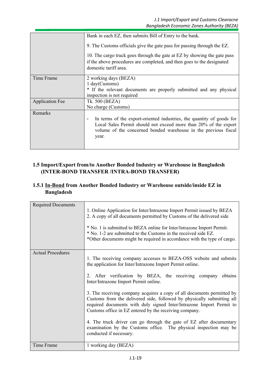|                        | Bank in each EZ, then submits Bill of Entry to the bank.                                                                                                                                                                                |
|------------------------|-----------------------------------------------------------------------------------------------------------------------------------------------------------------------------------------------------------------------------------------|
|                        | 9. The Customs officials give the gate pass for passing through the EZ.                                                                                                                                                                 |
|                        | 10. The cargo truck goes through the gate at EZ by showing the gate pass<br>if the above procedures are completed, and then goes to the designated<br>domestic tariff area.                                                             |
| Time Frame             | 2 working days (BEZA)                                                                                                                                                                                                                   |
|                        | 1 day(Customs)                                                                                                                                                                                                                          |
|                        | * If the relevant documents are properly submitted and any physical                                                                                                                                                                     |
|                        | inspection is not required                                                                                                                                                                                                              |
| <b>Application Fee</b> | Tk. 500 (BEZA)                                                                                                                                                                                                                          |
|                        | No charge (Customs)                                                                                                                                                                                                                     |
| Remarks                |                                                                                                                                                                                                                                         |
|                        | In terms of the export-oriented industries, the quantity of goods for<br>$\overline{a}$<br>Local Sales Permit should not exceed more than 20% of the export<br>volume of the concerned bonded warehouse in the previous fiscal<br>year. |
|                        |                                                                                                                                                                                                                                         |

#### **1.5 Import/Export from/to Another Bonded Industry or Warehouse in Bangladesh (INTER-BOND TRANSFER /INTRA-BOND TRANSFER)**

#### **1.5.1 In-Bond from Another Bonded Industry or Warehouse outside/inside EZ in Bangladesh**

| <b>Required Documents</b> | 1. Online Application for Inter/Intrazone Import Permit issued by BEZA<br>2. A copy of all documents permitted by Customs of the delivered side<br>* No. 1 is submitted to BEZA online for Inter/Intrazone Import Permit.<br>* No. 1-2 are submitted to the Customs in the received side EZ.<br>*Other documents might be required in accordance with the type of cargo.                                                                                                                                                                                                                                                                                                                             |
|---------------------------|------------------------------------------------------------------------------------------------------------------------------------------------------------------------------------------------------------------------------------------------------------------------------------------------------------------------------------------------------------------------------------------------------------------------------------------------------------------------------------------------------------------------------------------------------------------------------------------------------------------------------------------------------------------------------------------------------|
| <b>Actual Procedures</b>  | 1. The receiving company accesses to BEZA-OSS website and submits<br>the application for Inter/Intrazone Import Permit online.<br>2. After verification by BEZA, the receiving company obtains<br>Inter/Intrazone Import Permit online.<br>3. The receiving company acquires a copy of all documents permitted by<br>Customs from the delivered side, followed by physically submitting all<br>required documents with duly signed Inter/Intrazone Import Permit to<br>Customs office in EZ entered by the receiving company.<br>4. The truck driver can go through the gate of EZ after documentary<br>examination by the Customs office. The physical inspection may be<br>conducted if necessary. |
| <b>Time Frame</b>         | 1 working day (BEZA)                                                                                                                                                                                                                                                                                                                                                                                                                                                                                                                                                                                                                                                                                 |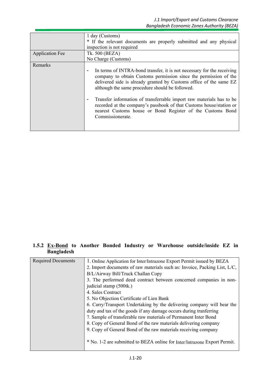|                        | 1 day (Customs)<br>* If the relevant documents are properly submitted and any physical<br>inspection is not required                                                                                                                                                                                                                                                                                                                                                                                                                  |
|------------------------|---------------------------------------------------------------------------------------------------------------------------------------------------------------------------------------------------------------------------------------------------------------------------------------------------------------------------------------------------------------------------------------------------------------------------------------------------------------------------------------------------------------------------------------|
| <b>Application Fee</b> | Tk. 500 (BEZA)<br>No Charge (Customs)                                                                                                                                                                                                                                                                                                                                                                                                                                                                                                 |
| Remarks                | In terms of INTRA-bond transfer, it is not necessary for the receiving<br>$\overline{\phantom{0}}$<br>company to obtain Customs permission since the permission of the<br>delivered side is already granted by Customs office of the same EZ<br>although the same procedure should be followed.<br>Transfer information of transferrable import raw materials has to be<br>٠<br>recorded at the company's passbook of that Customs house/station or<br>nearest Customs house or Bond Register of the Customs Bond<br>Commissionerate. |

#### **1.5.2 Ex-Bond to Another Bonded Industry or Warehouse outside/inside EZ in Bangladesh**

| <b>Required Documents</b> | 1. Online Application for Inter/Intrazone Export Permit issued by BEZA    |  |
|---------------------------|---------------------------------------------------------------------------|--|
|                           | 2. Import documents of raw materials such as: Invoice, Packing List, L/C, |  |
|                           | B/L/Airway Bill/Truck Challan Copy                                        |  |
|                           | 3. The performed deed contract between concerned companies in non-        |  |
|                           | judicial stamp (500tk.)                                                   |  |
|                           | 4. Sales Contract                                                         |  |
|                           | 5. No Objection Certificate of Lien Bank                                  |  |
|                           | 6. Carry/Transport Undertaking by the delivering company will bear the    |  |
|                           | duty and tax of the goods if any damage occurs during tranferring         |  |
|                           | 7. Sample of transferable raw materials of Permanent Inter Bond           |  |
|                           | 8. Copy of General Bond of the raw materials delivering company           |  |
|                           | 9. Copy of General Bond of the raw materials receiving company            |  |
|                           |                                                                           |  |
|                           | * No. 1-2 are submitted to BEZA online for Inter/Intrazone Export Permit. |  |
|                           |                                                                           |  |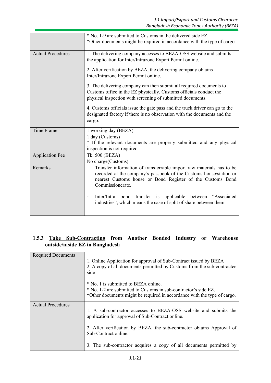| * No. 1-9 are submitted to Customs in the delivered side EZ.<br>*Other documents might be required in accordance with the type of cargo<br><b>Actual Procedures</b><br>1. The delivering company accesses to BEZA-OSS website and submits<br>the application for Inter/Intrazone Export Permit online.<br>2. After verification by BEZA, the delivering company obtains<br>Inter/Intrazone Export Permit online.<br>3. The delivering company can then submit all required documents to<br>Customs office in the EZ physically. Customs officials conduct the<br>physical inspection with screening of submitted documents.<br>4. Customs officials issue the gate pass and the truck driver can go to the<br>designated factory if there is no observation with the documents and the<br>cargo.<br><b>Time Frame</b><br>1 working day (BEZA)<br>1 day (Customs)<br>* If the relevant documents are properly submitted and any physical<br>inspection is not required<br>Tk. 500 (BEZA)<br><b>Application Fee</b><br>No charge(Customs)<br>Transfer information of transferrable import raw materials has to be<br>Remarks<br>recorded at the company's passbook of the Customs house/station or<br>nearest Customs house or Bond Register of the Customs Bond<br>Commissionerate.<br>Inter/Intra bond transfer is applicable between "Associated<br>$\qquad \qquad \blacksquare$<br>industries", which means the case of split of share between them. |  |
|--------------------------------------------------------------------------------------------------------------------------------------------------------------------------------------------------------------------------------------------------------------------------------------------------------------------------------------------------------------------------------------------------------------------------------------------------------------------------------------------------------------------------------------------------------------------------------------------------------------------------------------------------------------------------------------------------------------------------------------------------------------------------------------------------------------------------------------------------------------------------------------------------------------------------------------------------------------------------------------------------------------------------------------------------------------------------------------------------------------------------------------------------------------------------------------------------------------------------------------------------------------------------------------------------------------------------------------------------------------------------------------------------------------------------------------------------------|--|
|                                                                                                                                                                                                                                                                                                                                                                                                                                                                                                                                                                                                                                                                                                                                                                                                                                                                                                                                                                                                                                                                                                                                                                                                                                                                                                                                                                                                                                                        |  |
|                                                                                                                                                                                                                                                                                                                                                                                                                                                                                                                                                                                                                                                                                                                                                                                                                                                                                                                                                                                                                                                                                                                                                                                                                                                                                                                                                                                                                                                        |  |
|                                                                                                                                                                                                                                                                                                                                                                                                                                                                                                                                                                                                                                                                                                                                                                                                                                                                                                                                                                                                                                                                                                                                                                                                                                                                                                                                                                                                                                                        |  |
|                                                                                                                                                                                                                                                                                                                                                                                                                                                                                                                                                                                                                                                                                                                                                                                                                                                                                                                                                                                                                                                                                                                                                                                                                                                                                                                                                                                                                                                        |  |
|                                                                                                                                                                                                                                                                                                                                                                                                                                                                                                                                                                                                                                                                                                                                                                                                                                                                                                                                                                                                                                                                                                                                                                                                                                                                                                                                                                                                                                                        |  |
|                                                                                                                                                                                                                                                                                                                                                                                                                                                                                                                                                                                                                                                                                                                                                                                                                                                                                                                                                                                                                                                                                                                                                                                                                                                                                                                                                                                                                                                        |  |
|                                                                                                                                                                                                                                                                                                                                                                                                                                                                                                                                                                                                                                                                                                                                                                                                                                                                                                                                                                                                                                                                                                                                                                                                                                                                                                                                                                                                                                                        |  |
|                                                                                                                                                                                                                                                                                                                                                                                                                                                                                                                                                                                                                                                                                                                                                                                                                                                                                                                                                                                                                                                                                                                                                                                                                                                                                                                                                                                                                                                        |  |
|                                                                                                                                                                                                                                                                                                                                                                                                                                                                                                                                                                                                                                                                                                                                                                                                                                                                                                                                                                                                                                                                                                                                                                                                                                                                                                                                                                                                                                                        |  |
|                                                                                                                                                                                                                                                                                                                                                                                                                                                                                                                                                                                                                                                                                                                                                                                                                                                                                                                                                                                                                                                                                                                                                                                                                                                                                                                                                                                                                                                        |  |
|                                                                                                                                                                                                                                                                                                                                                                                                                                                                                                                                                                                                                                                                                                                                                                                                                                                                                                                                                                                                                                                                                                                                                                                                                                                                                                                                                                                                                                                        |  |

## **1.5.3 Take Sub-Contracting from Another Bonded Industry or Warehouse outside/inside EZ in Bangladesh**

| <b>Required Documents</b> | 1. Online Application for approval of Sub-Contract issued by BEZA                                                    |  |
|---------------------------|----------------------------------------------------------------------------------------------------------------------|--|
|                           | 2. A copy of all documents permitted by Customs from the sub-contractee<br>side                                      |  |
|                           | * No. 1 is submitted to BEZA online.<br>* No. 1-2 are submitted to Customs in sub-contractor's side EZ.              |  |
|                           | *Other documents might be required in accordance with the type of cargo.                                             |  |
| <b>Actual Procedures</b>  | 1. A sub-contractor accesses to BEZA-OSS website and submits the<br>application for approval of Sub-Contract online. |  |
|                           | 2. After verification by BEZA, the sub-contractor obtains Approval of<br>Sub-Contract online.                        |  |
|                           | 3. The sub-contractor acquires a copy of all documents permitted by                                                  |  |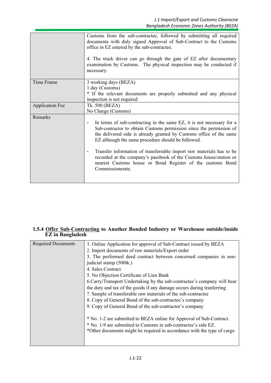|                        | Customs from the sub-contractee, followed by submitting all required<br>documents with duly signed Approval of Sub-Contract to the Customs<br>office in EZ entered by the sub-contractee.<br>4. The truck driver can go through the gate of EZ after documentary<br>examination by Customs. The physical inspection may be conducted if<br>necessary.                                                                                                                                                                            |  |
|------------------------|----------------------------------------------------------------------------------------------------------------------------------------------------------------------------------------------------------------------------------------------------------------------------------------------------------------------------------------------------------------------------------------------------------------------------------------------------------------------------------------------------------------------------------|--|
| Time Frame             | 3 working days (BEZA)<br>1 day (Customs)<br>* If the relevant documents are properly submitted and any physical<br>inspection is not required                                                                                                                                                                                                                                                                                                                                                                                    |  |
| <b>Application Fee</b> | Tk. 500 (BEZA)<br>No Charge (Customs)                                                                                                                                                                                                                                                                                                                                                                                                                                                                                            |  |
| Remarks                | In terms of sub-contracting in the same EZ, it is not necessary for a<br>$\overline{a}$<br>Sub-contractor to obtain Customs permission since the permission of<br>the delivered side is already granted by Customs office of the same<br>EZ although the same procedure should be followed.<br>Transfer information of transferrable import raw materials has to be<br>-<br>recorded at the company's passbook of the Customs house/station or<br>nearest Customs house or Bond Register of the customs Bond<br>Commissionerate. |  |

#### **1.5.4 Offer Sub-Contracting to Another Bonded Industry or Warehouse outside/inside EZ in Bangladesh**

| <b>Required Documents</b> | 1. Online Application for approval of Sub-Contract issued by BEZA        |
|---------------------------|--------------------------------------------------------------------------|
|                           | 2. Import documents of raw materials/Export order                        |
|                           | 3. The performed deed contract between concerned companies in non-       |
|                           | judicial stamp (500tk.)                                                  |
|                           | 4. Sales Contract                                                        |
|                           | 5. No Objection Certificate of Lien Bank                                 |
|                           | 6. Carry/Transport Undertaking by the sub-contractee's company will bear |
|                           | the duty and tax of the goods if any damage occurs during tranferring    |
|                           | 7. Sample of transferable raw materials of the sub-contractee            |
|                           | 8. Copy of General Bond of the sub-contractee's company                  |
|                           | 9. Copy of General Bond of the sub-contractor's company                  |
|                           |                                                                          |
|                           | * No. 1-2 are submitted to BEZA online for Approval of Sub-Contract.     |
|                           | * No. 1-9 are submitted to Customs in sub-contractee's side EZ.          |
|                           | *Other documents might be required in accordance with the type of cargo  |
|                           |                                                                          |
|                           |                                                                          |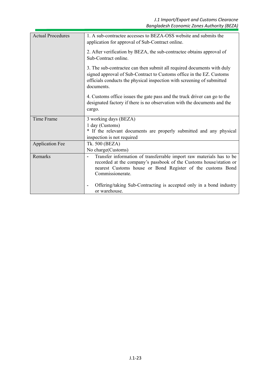| <b>Actual Procedures</b> | 1. A sub-contractee accesses to BEZA-OSS website and submits the<br>application for approval of Sub-Contract online.                                                                                                                                     |
|--------------------------|----------------------------------------------------------------------------------------------------------------------------------------------------------------------------------------------------------------------------------------------------------|
|                          | 2. After verification by BEZA, the sub-contractee obtains approval of<br>Sub-Contract online.                                                                                                                                                            |
|                          | 3. The sub-contractee can then submit all required documents with duly<br>signed approval of Sub-Contract to Customs office in the EZ. Customs<br>officials conducts the physical inspection with screening of submitted<br>documents.                   |
|                          | 4. Customs office issues the gate pass and the truck driver can go to the<br>designated factory if there is no observation with the documents and the<br>cargo.                                                                                          |
| Time Frame               | 3 working days (BEZA)                                                                                                                                                                                                                                    |
|                          | 1 day (Customs)                                                                                                                                                                                                                                          |
|                          | * If the relevant documents are properly submitted and any physical                                                                                                                                                                                      |
|                          | inspection is not required                                                                                                                                                                                                                               |
| <b>Application Fee</b>   | Tk. 500 (BEZA)                                                                                                                                                                                                                                           |
|                          | No charge (Customs)                                                                                                                                                                                                                                      |
| Remarks                  | Transfer information of transferrable import raw materials has to be<br>$\overline{\phantom{a}}$<br>recorded at the company's passbook of the Customs house/station or<br>nearest Customs house or Bond Register of the customs Bond<br>Commissionerate. |
|                          | Offering/taking Sub-Contracting is accepted only in a bond industry<br>$\overline{\phantom{a}}$<br>or warehouse.                                                                                                                                         |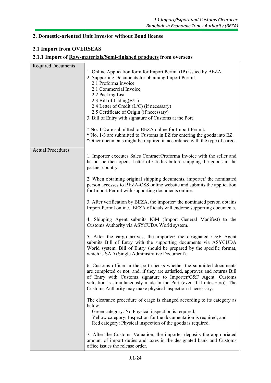#### **2. Domestic-oriented Unit Investor without Bond license**

#### **2.1 Import from OVERSEAS**

#### **2.1.1 Import of Raw-materials/Semi-finished products from overseas**

| <b>Required Documents</b> | 1. Online Application form for Import Permit (IP) issued by BEZA<br>2. Supporting Documents for obtaining Import Permit<br>2.1 Proforma Invoice<br>2.1 Commercial Invoice<br>2.2 Packing List<br>2.3 Bill of Lading $(B/L)$<br>2.4 Letter of Credit (L/C) (if necessary)<br>2.5 Certificate of Origin (if necessary)<br>3. Bill of Entry with signature of Customs at the Port<br>* No. 1-2 are submitted to BEZA online for Import Permit.<br>* No. 1-3 are submitted to Customs in EZ for entering the goods into EZ.<br>*Other documents might be required in accordance with the type of cargo. |  |
|---------------------------|-----------------------------------------------------------------------------------------------------------------------------------------------------------------------------------------------------------------------------------------------------------------------------------------------------------------------------------------------------------------------------------------------------------------------------------------------------------------------------------------------------------------------------------------------------------------------------------------------------|--|
| <b>Actual Procedures</b>  | 1. Importer executes Sales Contract/Proforma Invoice with the seller and<br>he or she then opens Letter of Credits before shipping the goods in the<br>partner country.                                                                                                                                                                                                                                                                                                                                                                                                                             |  |
|                           | 2. When obtaining original shipping documents, importer/ the nominated<br>person accesses to BEZA-OSS online website and submits the application<br>for Import Permit with supporting documents online.                                                                                                                                                                                                                                                                                                                                                                                             |  |
|                           | 3. After verification by BEZA, the importer/ the nominated person obtains<br>Import Permit online. BEZA officials will endorse supporting documents.                                                                                                                                                                                                                                                                                                                                                                                                                                                |  |
|                           | 4. Shipping Agent submits IGM (Import General Manifest) to the<br>Customs Authority via ASYCUDA World system.                                                                                                                                                                                                                                                                                                                                                                                                                                                                                       |  |
|                           | 5. After the cargo arrives, the importer/ the designated C&F Agent<br>submits Bill of Entry with the supporting documents via ASYCUDA<br>World system. Bill of Entry should be prepared by the specific format,<br>which is SAD (Single Administrative Document).                                                                                                                                                                                                                                                                                                                                   |  |
|                           | 6. Customs officer in the port checks whether the submitted documents<br>are completed or not, and, if they are satisfied, approves and returns Bill<br>of Entry with Customs signature to Importer/C&F Agent. Customs<br>valuation is simultaneously made in the Port (even if it rates zero). The<br>Customs Authority may make physical inspection if necessary.                                                                                                                                                                                                                                 |  |
|                           | The clearance procedure of cargo is changed according to its category as<br>below:<br>Green category: No Physical inspection is required;<br>Yellow category: Inspection for the documentation is required; and<br>Red category: Physical inspection of the goods is required.                                                                                                                                                                                                                                                                                                                      |  |
|                           | 7. After the Customs Valuation, the importer deposits the appropriated<br>amount of import duties and taxes in the designated bank and Customs<br>office issues the release order.                                                                                                                                                                                                                                                                                                                                                                                                                  |  |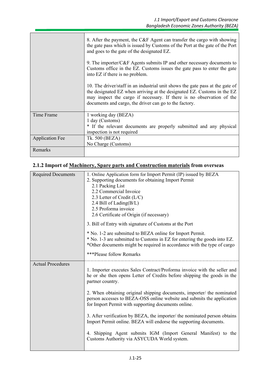|                        | 8. After the payment, the C&F Agent can transfer the cargo with showing<br>the gate pass which is issued by Customs of the Port at the gate of the Port<br>and goes to the gate of the designated EZ.                                                                                       |  |
|------------------------|---------------------------------------------------------------------------------------------------------------------------------------------------------------------------------------------------------------------------------------------------------------------------------------------|--|
|                        | 9. The importer/C&F Agents submits IP and other necessary documents to<br>Customs office in the EZ. Customs issues the gate pass to enter the gate<br>into EZ if there is no problem.                                                                                                       |  |
|                        | 10. The driver/staff in an industrial unit shows the gate pass at the gate of<br>the designated EZ when arriving at the designated EZ. Customs in the EZ<br>may inspect the cargo if necessary. If there is no observation of the<br>documents and cargo, the driver can go to the factory. |  |
| Time Frame             | 1 working day (BEZA)<br>1 day (Customs)<br>* If the relevant documents are properly submitted and any physical<br>inspection is not required                                                                                                                                                |  |
| <b>Application Fee</b> | Tk. 500 (BEZA)                                                                                                                                                                                                                                                                              |  |
|                        | No Charge (Customs)                                                                                                                                                                                                                                                                         |  |
| Remarks                |                                                                                                                                                                                                                                                                                             |  |

# **2.1.2 Import of Machinery, Spare parts and Construction materials from overseas**

| <b>Required Documents</b> | 1. Online Application form for Import Permit (IP) issued by BEZA                                                                                 |
|---------------------------|--------------------------------------------------------------------------------------------------------------------------------------------------|
|                           | 2. Supporting documents for obtaining Import Permit                                                                                              |
|                           | 2.1 Packing List                                                                                                                                 |
|                           | 2.2 Commercial Invoice                                                                                                                           |
|                           | 2.3 Letter of Credit (L/C)                                                                                                                       |
|                           | 2.4 Bill of Lading(B/L)                                                                                                                          |
|                           | 2.5 Proforma invoice                                                                                                                             |
|                           | 2.6 Certificate of Origin (if necessary)                                                                                                         |
|                           | 3. Bill of Entry with signature of Customs at the Port                                                                                           |
|                           | * No. 1-2 are submitted to BEZA online for Import Permit.                                                                                        |
|                           | * No. 1-3 are submitted to Customs in EZ for entering the goods into EZ.                                                                         |
|                           | *Other documents might be required in accordance with the type of cargo                                                                          |
|                           |                                                                                                                                                  |
|                           | ***Please follow Remarks                                                                                                                         |
| <b>Actual Procedures</b>  |                                                                                                                                                  |
|                           | 1. Importer executes Sales Contract/Proforma invoice with the seller and                                                                         |
|                           | he or she then opens Letter of Credits before shipping the goods in the                                                                          |
|                           | partner country.                                                                                                                                 |
|                           |                                                                                                                                                  |
|                           | 2. When obtaining original shipping documents, importer/ the nominated<br>person accesses to BEZA-OSS online website and submits the application |
|                           |                                                                                                                                                  |
|                           |                                                                                                                                                  |
|                           | for Import Permit with supporting documents online.                                                                                              |
|                           |                                                                                                                                                  |
|                           | 3. After verification by BEZA, the importer/ the nominated person obtains                                                                        |
|                           | Import Permit online. BEZA will endorse the supporting documents.                                                                                |
|                           |                                                                                                                                                  |
|                           | 4. Shipping Agent submits IGM (Import General Manifest) to the<br>Customs Authority via ASYCUDA World system.                                    |
|                           |                                                                                                                                                  |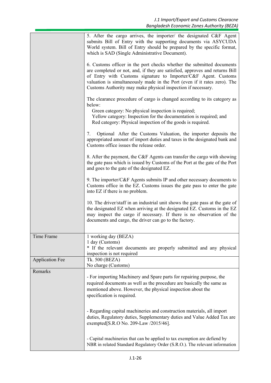|                        | 5. After the cargo arrives, the importer/ the designated C&F Agent<br>submits Bill of Entry with the supporting documents via ASYCUDA<br>World system. Bill of Entry should be prepared by the specific format,<br>which is SAD (Single Administrative Document).                                                                                                   |
|------------------------|---------------------------------------------------------------------------------------------------------------------------------------------------------------------------------------------------------------------------------------------------------------------------------------------------------------------------------------------------------------------|
|                        | 6. Customs officer in the port checks whether the submitted documents<br>are completed or not, and, if they are satisfied, approves and returns Bill<br>of Entry with Customs signature to Importer/C&F Agent. Customs<br>valuation is simultaneously made in the Port (even if it rates zero). The<br>Customs Authority may make physical inspection if necessary. |
|                        | The clearance procedure of cargo is changed according to its category as<br>below:<br>Green category: No physical inspection is required;<br>Yellow category: Inspection for the documentation is required; and<br>Red category: Physical inspection of the goods is required.                                                                                      |
|                        | Optional After the Customs Valuation, the importer deposits the<br>7.<br>appropriated amount of import duties and taxes in the designated bank and<br>Customs office issues the release order.                                                                                                                                                                      |
|                        | 8. After the payment, the C&F Agents can transfer the cargo with showing<br>the gate pass which is issued by Customs of the Port at the gate of the Port<br>and goes to the gate of the designated EZ.                                                                                                                                                              |
|                        | 9. The importer/C&F Agents submits IP and other necessary documents to<br>Customs office in the EZ. Customs issues the gate pass to enter the gate<br>into EZ if there is no problem.                                                                                                                                                                               |
|                        | 10. The driver/staff in an industrial unit shows the gate pass at the gate of<br>the designated EZ when arriving at the designated EZ. Customs in the EZ<br>may inspect the cargo if necessary. If there is no observation of the<br>documents and cargo, the driver can go to the factory.                                                                         |
| Time Frame             | 1 working day (BEZA)<br>1 day (Customs)<br>* If the relevant documents are properly submitted and any physical<br>inspection is not required                                                                                                                                                                                                                        |
| <b>Application Fee</b> | Tk. 500 (BEZA)<br>No charge (Customs)                                                                                                                                                                                                                                                                                                                               |
| Remarks                | - For importing Machinery and Spare parts for repairing purpose, the<br>required documents as well as the procedure are basically the same as<br>mentioned above. However, the physical inspection about the<br>specification is required.                                                                                                                          |
|                        | - Regarding capital machineries and construction materials, all import<br>duties, Regulatory duties, Supplementary duties and Value Added Tax are<br>exempted[S.R.O No. 209-Law /2015/46].                                                                                                                                                                          |
|                        | - Capital machineries that can be applied to tax exemption are defiend by<br>NBR in related Standard Regulatory Order (S.R.O.). The relevant information                                                                                                                                                                                                            |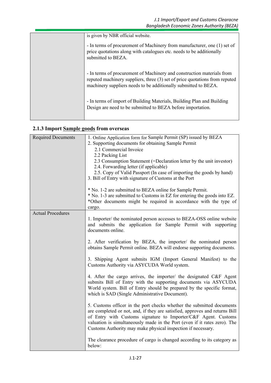| is given by NBR official website.                                                                                                                                                                                        |  |
|--------------------------------------------------------------------------------------------------------------------------------------------------------------------------------------------------------------------------|--|
| - In terms of procurement of Machinery from manufacturer, one (1) set of<br>price quotations along with catalogues etc. needs to be additionally<br>submitted to BEZA.                                                   |  |
| - In terms of procurement of Machinery and construction materials from<br>reputed machinery suppliers, three (3) set of price quotations from reputed<br>machinery suppliers needs to be additionally submitted to BEZA. |  |
| - In terms of import of Building Materials, Building Plan and Building<br>Design are need to be submitted to BEZA before importation.                                                                                    |  |

# **2.1.3 Import Sample goods from overseas**

| <b>Required Documents</b> | 1. Online Application form for Sample Permit (SP) issued by BEZA            |
|---------------------------|-----------------------------------------------------------------------------|
|                           | 2. Supporting documents for obtaining Sample Permit                         |
|                           | 2.1 Commercial Invoice                                                      |
|                           | 2.2 Packing List                                                            |
|                           | 2.3 Consumption Statement (=Declaration letter by the unit investor)        |
|                           | 2.4. Forwarding letter (if applicable)                                      |
|                           | 2.5. Copy of Valid Passport (In case of importing the goods by hand)        |
|                           | 3. Bill of Entry with signature of Customs at the Port                      |
|                           | * No. 1-2 are submitted to BEZA online for Sample Permit.                   |
|                           | * No. 1-3 are submitted to Customs in EZ for entering the goods into EZ.    |
|                           | *Other documents might be required in accordance with the type of           |
|                           | cargo.                                                                      |
| <b>Actual Procedures</b>  |                                                                             |
|                           | 1. Importer/ the nominated person accesses to BEZA-OSS online website       |
|                           | and submits the application for Sample Permit with supporting               |
|                           | documents online.                                                           |
|                           | 2. After verification by BEZA, the importer/ the nominated person           |
|                           | obtains Sample Permit online. BEZA will endorse supporting documents.       |
|                           |                                                                             |
|                           | 3. Shipping Agent submits IGM (Import General Manifest) to the              |
|                           | Customs Authority via ASYCUDA World system.                                 |
|                           |                                                                             |
|                           | 4. After the cargo arrives, the importer/ the designated C&F Agent          |
|                           | submits Bill of Entry with the supporting documents via ASYCUDA             |
|                           | World system. Bill of Entry should be prepared by the specific format,      |
|                           | which is SAD (Single Administrative Document).                              |
|                           | 5. Customs officer in the port checks whether the submitted documents       |
|                           | are completed or not, and, if they are satisfied, approves and returns Bill |
|                           | of Entry with Customs signature to Importer/C&F Agent. Customs              |
|                           | valuation is simultaneously made in the Port (even if it rates zero). The   |
|                           | Customs Authority may make physical inspection if necessary.                |
|                           |                                                                             |
|                           | The clearance procedure of cargo is changed according to its category as    |
|                           | below:                                                                      |
|                           |                                                                             |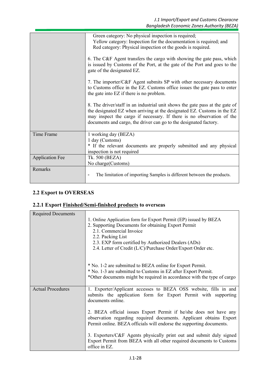|                        | Green category: No physical inspection is required;                                                |
|------------------------|----------------------------------------------------------------------------------------------------|
|                        | Yellow category: Inspection for the documentation is required; and                                 |
|                        | Red category: Physical inspection ot the goods is required.                                        |
|                        | 6. The C&F Agent transfers the cargo with showing the gate pass, which                             |
|                        | is issued by Customs of the Port, at the gate of the Port and goes to the                          |
|                        | gate of the designated EZ.                                                                         |
|                        | 7. The importer/C&F Agent submits SP with other necessary documents                                |
|                        | to Customs office in the EZ. Customs office issues the gate pass to enter                          |
|                        | the gate into EZ if there is no problem.                                                           |
|                        | 8. The driver/staff in an industrial unit shows the gate pass at the gate of                       |
|                        | the designated EZ when arriving at the designated EZ. Customs in the EZ                            |
|                        | may inspect the cargo if necessary. If there is no observation of the                              |
|                        | documents and cargo, the driver can go to the designated factory.                                  |
| Time Frame             | 1 working day (BEZA)                                                                               |
|                        | 1 day (Customs)                                                                                    |
|                        | * If the relevant documents are properly submitted and any physical                                |
|                        | inspection is not required                                                                         |
| <b>Application Fee</b> | Tk. 500 (BEZA)                                                                                     |
|                        | No charge(Customs)                                                                                 |
| Remarks                |                                                                                                    |
|                        | The limitation of importing Samples is different between the products.<br>$\overline{\phantom{a}}$ |
|                        |                                                                                                    |

## **2.2 Export to OVERSEAS**

# **2.2.1 Export Finished/Semi-finished products to overseas**

| <b>Required Documents</b> |                                                                                                                                         |
|---------------------------|-----------------------------------------------------------------------------------------------------------------------------------------|
|                           | 1. Online Application form for Export Permit (EP) issued by BEZA                                                                        |
|                           | 2. Supporting Documents for obtaining Export Permit                                                                                     |
|                           | 2.1. Commercial Invoice                                                                                                                 |
|                           | 2.2. Packing List                                                                                                                       |
|                           | 2.3. EXP form certified by Authorized Dealers (ADs)                                                                                     |
|                           | 2.4. Letter of Credit (L/C)/Purchase Order/Export Order etc.                                                                            |
|                           |                                                                                                                                         |
|                           | * No. 1-2 are submitted to BEZA online for Export Permit.                                                                               |
|                           | * No. 1-3 are submitted to Customs in EZ after Export Permit.                                                                           |
|                           | *Other documents might be required in accordance with the type of cargo                                                                 |
|                           |                                                                                                                                         |
| <b>Actual Procedures</b>  | 1. Exporter/Applicant accesses to BEZA OSS website, fills in and                                                                        |
|                           | submits the application form for Export Permit with supporting                                                                          |
|                           | documents online.                                                                                                                       |
|                           |                                                                                                                                         |
|                           | 2. BEZA official issues Export Permit if he/she does not have any<br>observation regarding required documents. Applicant obtains Export |
|                           | Permit online. BEZA officials will endorse the supporting documents.                                                                    |
|                           |                                                                                                                                         |
|                           | 3. Exporters/C&F Agents physically print out and submit duly signed                                                                     |
|                           | Export Permit from BEZA with all other required documents to Customs                                                                    |
|                           | office in EZ.                                                                                                                           |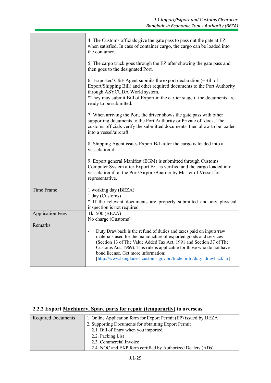|                         | 4. The Customs officials give the gate pass to pass out the gate at EZ<br>when satisfied. In case of container cargo, the cargo can be loaded into<br>the container.                                                                                                                                                                                                                                                           |  |  |  |
|-------------------------|--------------------------------------------------------------------------------------------------------------------------------------------------------------------------------------------------------------------------------------------------------------------------------------------------------------------------------------------------------------------------------------------------------------------------------|--|--|--|
|                         | 5. The cargo truck goes through the EZ after showing the gate pass and<br>then goes to the designated Port.                                                                                                                                                                                                                                                                                                                    |  |  |  |
|                         | 6. Exporter/ $C\&F$ Agent submits the export declaration (=Bill of<br>Export/Shipping Bill) and other required documents to the Port Authority<br>through ASYCUDA World system.<br>*They may submit Bill of Export in the earlier stage if the documents are<br>ready to be submitted.                                                                                                                                         |  |  |  |
|                         | 7. When arriving the Port, the driver shows the gate pass with other<br>supporting documents to the Port Authority or Private off dock. The<br>customs officials verify the submitted documents, then allow to be loaded<br>into a vessel/aircraft.                                                                                                                                                                            |  |  |  |
|                         | 8. Shipping Agent issues Export B/L after the cargo is loaded into a<br>vessel/aircraft.                                                                                                                                                                                                                                                                                                                                       |  |  |  |
|                         | 9. Export general Manifest (EGM) is submitted through Customs<br>Computer System after Export B/L is verified and the cargo loaded into<br>vessel/aircraft at the Port/Airport/Boarder by Master of Vessel for<br>representative.                                                                                                                                                                                              |  |  |  |
| Time Frame              | 1 working day (BEZA)                                                                                                                                                                                                                                                                                                                                                                                                           |  |  |  |
|                         | 1 day (Customs)<br>* If the relevant documents are properly submitted and any physical<br>inspection is not required                                                                                                                                                                                                                                                                                                           |  |  |  |
| <b>Application Fees</b> | Tk. 500 (BEZA)<br>No charge (Customs)                                                                                                                                                                                                                                                                                                                                                                                          |  |  |  |
| Remarks                 |                                                                                                                                                                                                                                                                                                                                                                                                                                |  |  |  |
|                         | Duty Drawback is the refund of duties and taxes paid on inputs/raw<br>$\overline{\phantom{m}}$<br>materials used for the manufacture of exported goods and services<br>(Section 13 of The Value Added Tax Act, 1991 and Section 37 of The<br>Customs Act, 1969). This rule is applicable for those who do not have<br>bond license. Get more information:<br>[http://www.bangladeshcustoms.gov.bd/trade info/duty drawback ti] |  |  |  |

# **2.2.2 Export Machinery, Spare parts for repair (temporarily) to overseas**

| <b>Required Documents</b> | 1. Online Application form for Export Permit (EP) issued by BEZA |  |  |
|---------------------------|------------------------------------------------------------------|--|--|
|                           | 2. Supporting Documents for obtaining Export Permit              |  |  |
|                           | 2.1. Bill of Entry when you imported                             |  |  |
|                           | 2.2. Packing List                                                |  |  |
|                           | 2.3. Commercial Invoice                                          |  |  |
|                           | 2.4. NOC and EXP form certified by Authorized Dealers (ADs)      |  |  |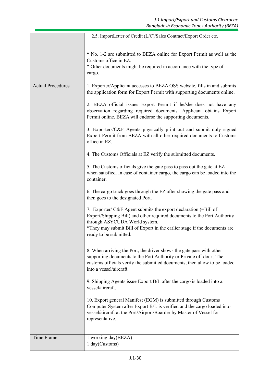|                          | 2.5. ImportLetter of Credit (L/C)/Sales Contract/Export Order etc.                                                                                                                                                                                                                  |
|--------------------------|-------------------------------------------------------------------------------------------------------------------------------------------------------------------------------------------------------------------------------------------------------------------------------------|
|                          | * No. 1-2 are submitted to BEZA online for Export Permit as well as the<br>Customs office in EZ.<br>* Other documents might be required in accordance with the type of<br>cargo.                                                                                                    |
| <b>Actual Procedures</b> | 1. Exporter/Applicant accesses to BEZA OSS website, fills in and submits<br>the application form for Export Permit with supporting documents online.                                                                                                                                |
|                          | 2. BEZA official issues Export Permit if he/she does not have any<br>observation regarding required documents. Applicant obtains Export<br>Permit online. BEZA will endorse the supporting documents.                                                                               |
|                          | 3. Exporters/C&F Agents physically print out and submit duly signed<br>Export Permit from BEZA with all other required documents to Customs<br>office in EZ.                                                                                                                        |
|                          | 4. The Customs Officials at EZ verify the submitted documents.                                                                                                                                                                                                                      |
|                          | 5. The Customs officials give the gate pass to pass out the gate at EZ<br>when satisfied. In case of container cargo, the cargo can be loaded into the<br>container.                                                                                                                |
|                          | 6. The cargo truck goes through the EZ after showing the gate pass and<br>then goes to the designated Port.                                                                                                                                                                         |
|                          | 7. Exporter/ C&F Agent submits the export declaration (=Bill of<br>Export/Shipping Bill) and other required documents to the Port Authority<br>through ASYCUDA World system.<br>*They may submit Bill of Export in the earlier stage if the documents are<br>ready to be submitted. |
|                          | 8. When arriving the Port, the driver shows the gate pass with other<br>supporting documents to the Port Authority or Private off dock. The<br>customs officials verify the submitted documents, then allow to be loaded<br>into a vessel/aircraft.                                 |
|                          | 9. Shipping Agents issue Export B/L after the cargo is loaded into a<br>vessel/aircraft.                                                                                                                                                                                            |
|                          | 10. Export general Manifest (EGM) is submitted through Customs<br>Computer System after Export B/L is verified and the cargo loaded into<br>vessel/aircraft at the Port/Airport/Boarder by Master of Vessel for<br>representative.                                                  |
| Time Frame               | 1 working day(BEZA)<br>1 day(Customs)                                                                                                                                                                                                                                               |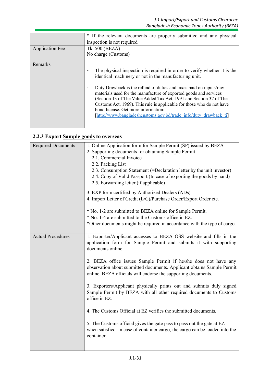| <b>Application Fee</b> | * If the relevant documents are properly submitted and any physical<br>inspection is not required<br>Tk. 500 (BEZA)<br>No charge (Customs)                                                                                                                                                                                                                                                                                                                                                                                                        |
|------------------------|---------------------------------------------------------------------------------------------------------------------------------------------------------------------------------------------------------------------------------------------------------------------------------------------------------------------------------------------------------------------------------------------------------------------------------------------------------------------------------------------------------------------------------------------------|
| Remarks                | The physical inspection is required in order to verify whether it is the<br>٠<br>identical machinery or not in the manufacturing unit.<br>Duty Drawback is the refund of duties and taxes paid on inputs/raw<br>٠<br>materials used for the manufacture of exported goods and services<br>(Section 13 of The Value Added Tax Act, 1991 and Section 37 of The<br>Customs Act, 1969). This rule is applicable for those who do not have<br>bond license. Get more information:<br>[http://www.bangladeshcustoms.gov.bd/trade info/duty drawback ti] |

# **2.2.3 Export Sample goods to overseas**

| <b>Required Documents</b> | 1. Online Application form for Sample Permit (SP) issued by BEZA<br>2. Supporting documents for obtaining Sample Permit<br>2.1. Commercial Invoice<br>2.2. Packing List<br>2.3. Consumption Statement (=Declaration letter by the unit investor)<br>2.4. Copy of Valid Passport (In case of exporting the goods by hand)<br>2.5. Forwarding letter (if applicable)<br>3. EXP form certified by Authorized Dealers (ADs)<br>4. Import Letter of Credit (L/C)/Purchase Order/Export Order etc.<br>* No. 1-2 are submitted to BEZA online for Sample Permit. |  |
|---------------------------|-----------------------------------------------------------------------------------------------------------------------------------------------------------------------------------------------------------------------------------------------------------------------------------------------------------------------------------------------------------------------------------------------------------------------------------------------------------------------------------------------------------------------------------------------------------|--|
|                           | * No. 1-4 are submitted to the Customs office in EZ.                                                                                                                                                                                                                                                                                                                                                                                                                                                                                                      |  |
|                           | *Other documents might be required in accordance with the type of cargo.                                                                                                                                                                                                                                                                                                                                                                                                                                                                                  |  |
| <b>Actual Procedures</b>  | 1. Exporter/Applicant accesses to BEZA OSS website and fills in the<br>application form for Sample Permit and submits it with supporting<br>documents online.                                                                                                                                                                                                                                                                                                                                                                                             |  |
|                           | 2. BEZA office issues Sample Permit if he/she does not have any<br>observation about submitted documents. Applicant obtains Sample Permit<br>online. BEZA officials will endorse the supporting documents.                                                                                                                                                                                                                                                                                                                                                |  |
|                           | 3. Exporters/Applicant physically prints out and submits duly signed<br>Sample Permit by BEZA with all other required documents to Customs<br>office in EZ.                                                                                                                                                                                                                                                                                                                                                                                               |  |
|                           | 4. The Customs Official at EZ verifies the submitted documents.                                                                                                                                                                                                                                                                                                                                                                                                                                                                                           |  |
|                           | 5. The Customs official gives the gate pass to pass out the gate at EZ<br>when satisfied. In case of container cargo, the cargo can be loaded into the<br>container.                                                                                                                                                                                                                                                                                                                                                                                      |  |
|                           |                                                                                                                                                                                                                                                                                                                                                                                                                                                                                                                                                           |  |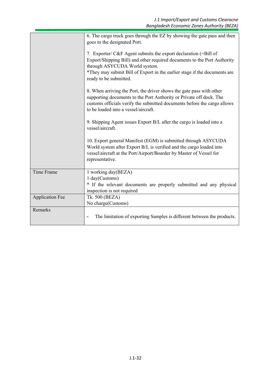|                        | 6. The cargo truck goes through the EZ by showing the gate pass and then<br>goes to the designated Port.                                                                                                                                                                            |
|------------------------|-------------------------------------------------------------------------------------------------------------------------------------------------------------------------------------------------------------------------------------------------------------------------------------|
|                        | 7. Exporter/ C&F Agent submits the export declaration (=Bill of<br>Export/Shipping Bill) and other required documents to the Port Authority<br>through ASYCUDA World system.<br>*They may submit Bill of Export in the earlier stage if the documents are<br>ready to be submitted. |
|                        | 8. When arriving the Port, the driver shows the gate pass with other<br>supporting documents to the Port Authority or Private off dock. The<br>customs officials verify the submitted documents before the cargo allows<br>to be loaded into a vessel/aircraft.                     |
|                        | 9. Shipping Agent issues Export B/L after the cargo is loaded into a<br>vessel/aircraft.                                                                                                                                                                                            |
|                        | 10. Export general Manifest (EGM) is submitted through ASYCUDA<br>World system after Export B/L is verified and the cargo loaded into<br>vessel/aircraft at the Port/Airport/Boarder by Master of Vessel for<br>representative.                                                     |
| Time Frame             | 1 working day(BEZA)<br>1 day(Customs)<br>* If the relevant documents are properly submitted and any physical<br>inspection is not required                                                                                                                                          |
| <b>Application Fee</b> | Tk. 500 (BEZA)<br>No charge(Customs)                                                                                                                                                                                                                                                |
| Remarks                | The limitation of exporting Samples is different between the products.                                                                                                                                                                                                              |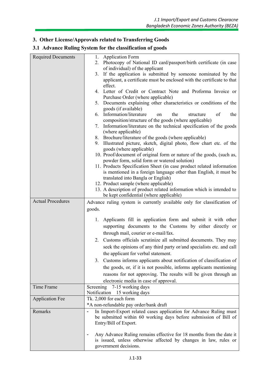# **3. Other License/Approvals related to Transferring Goods**

#### **3.1 Advance Ruling System for the classification of goods**

| <b>Required Documents</b> | <b>Application Form</b><br>1.                                                                                                                                    |
|---------------------------|------------------------------------------------------------------------------------------------------------------------------------------------------------------|
|                           | Photocopy of National ID card/passport/birth certificate (in case<br>2.                                                                                          |
|                           | of individual) of the applicant                                                                                                                                  |
|                           | 3. If the application is submitted by someone nominated by the                                                                                                   |
|                           | applicant, a certificate must be enclosed with the certificate to that                                                                                           |
|                           | effect.<br>4. Letter of Credit or Contract Note and Proforma Invoice or                                                                                          |
|                           | Purchase Order (where applicable)                                                                                                                                |
|                           | 5. Documents explaining other characteristics or conditions of the                                                                                               |
|                           | goods (if available)                                                                                                                                             |
|                           | 6. Information/literature<br>of<br>the<br>structure<br>the<br>on                                                                                                 |
|                           | composition/structure of the goods (where applicable)                                                                                                            |
|                           | Information/literature on the technical specification of the goods<br>7.                                                                                         |
|                           | (where applicable)                                                                                                                                               |
|                           | 8. Brochure/literature of the goods (where applicable)                                                                                                           |
|                           | 9. Illustrated picture, sketch, digital photo, flow chart etc. of the<br>goods (where applicable)                                                                |
|                           | 10. Proof/document of original form or nature of the goods, (such as,<br>powder form, solid form or watered solution)                                            |
|                           | 11. Products Specification Sheet (in case product related information                                                                                            |
|                           | is mentioned in a foreign language other than English, it must be                                                                                                |
|                           | translated into Bangla or English)                                                                                                                               |
|                           | 12. Product sample (where applicable)                                                                                                                            |
|                           | 13. A description of product related information which is intended to                                                                                            |
| <b>Actual Procedures</b>  | be kept confidential (where applicable)                                                                                                                          |
|                           | Advance ruling system is currently available only for classification of                                                                                          |
|                           | goods.                                                                                                                                                           |
|                           | Applicants fill in application form and submit it with other<br>1.                                                                                               |
|                           | supporting documents to the Customs by either directly or                                                                                                        |
|                           | through mail, courier or e-mail/fax.                                                                                                                             |
|                           | 2. Customs officials scrutinize all submitted documents. They may                                                                                                |
|                           | seek the opinions of any third party or/and specialists etc. and call                                                                                            |
|                           | the applicant for verbal statement.                                                                                                                              |
|                           |                                                                                                                                                                  |
|                           | 3. Customs informs applicants about notification of classification of                                                                                            |
|                           | the goods, or, if it is not possible, informs applicants mentioning                                                                                              |
|                           | reasons for not approving. The results will be given through an                                                                                                  |
|                           | electronic media in case of approval.                                                                                                                            |
| Time Frame                | Screening<br>7-15 working days                                                                                                                                   |
|                           | Notification 15 working days<br>Tk. 2,000 for each form                                                                                                          |
| <b>Application Fee</b>    | *A non-refundable pay order/bank draft                                                                                                                           |
| Remarks                   | In Import-Export related cases application for Advance Ruling must<br>$\overline{a}$                                                                             |
|                           | be submitted within 60 working days before submission of Bill of<br>Entry/Bill of Export.                                                                        |
|                           | Any Advance Ruling remains effective for 18 months from the date it<br>is issued, unless otherwise affected by changes in law, rules or<br>government decisions. |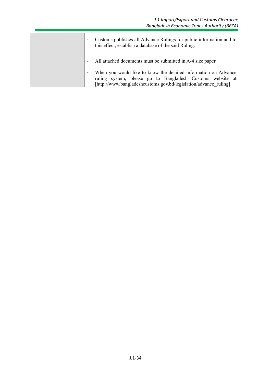| $\overline{\phantom{a}}$ | Customs publishes all Advance Rulings for public information and to<br>this effect, establish a database of the said Ruling.                                                                     |
|--------------------------|--------------------------------------------------------------------------------------------------------------------------------------------------------------------------------------------------|
| $\overline{\phantom{a}}$ | All attached documents must be submitted in A-4 size paper.                                                                                                                                      |
| $\overline{\phantom{a}}$ | When you would like to know the detailed information on Advance<br>ruling system, please go to Bangladesh Customs website at<br>[http://www.bangladeshcustoms.gov.bd/legislation/advance ruling] |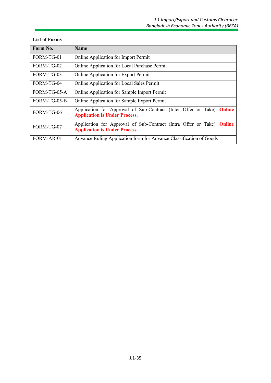| Form No.     | <b>Name</b>                                                                                                   |  |  |
|--------------|---------------------------------------------------------------------------------------------------------------|--|--|
| FORM-TG-01   | Online Application for Import Permit                                                                          |  |  |
| FORM-TG-02   | Online Application for Local Purchase Permit                                                                  |  |  |
| FORM-TG-03   | Online Application for Export Permit                                                                          |  |  |
| FORM-TG-04   | <b>Online Application for Local Sales Permit</b>                                                              |  |  |
| FORM-TG-05-A | Online Application for Sample Import Permit                                                                   |  |  |
| FORM-TG-05-B | <b>Online Application for Sample Export Permit</b>                                                            |  |  |
| FORM-TG-06   | Application for Approval of Sub-Contract (Inter Offer or Take) Online<br><b>Application is Under Process.</b> |  |  |
| FORM-TG-07   | Application for Approval of Sub-Contract (Intra Offer or Take) Online<br><b>Application is Under Process.</b> |  |  |
| FORM-AR-01   | Advance Ruling Application form for Advance Classification of Goods                                           |  |  |

#### **List of Forms**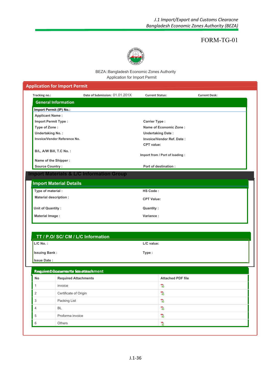

#### BEZA::Bangladesh Economic Zones Authority Application for Import Permit

#### **Application for Import Permit Tracking no.: Date of Submission:** 01.01.201X **Current Status: Current Desk: General Information Import Permit (IP) No.: Applicant Name : Import Permit Type : Carrier Type : Type of Zone : Name of Economic Zone : Undertaking No. : Undertaking Date : Invoice/Vendor Reference No. Invoice/Vendor Ref. Date : CPT value: B/L, A/W Bill, T.C No. : Import from / Port of loading : Name of the Shipper :** Source Country : **Port of destination : Import Materials & L/C Information Group Import Material Details Type of material : HS Code : Material description : CPT Value:** *Unit of Quantity :* **<b>Quantity : Quantity : Material Image : Variance : TT / P.O/ SC/ CM / L/C Information TT / P.O/ SC/ CM / L/C Information L/C No. : L/C value: Issuing Bank : Type : Issue Date : Required Documents for attachment Required Documents for attachment No Required Attachments Attached PDF file**  $\mathbb{R}$ 1 invoice  $\overline{\mathcal{R}}$ 2 **Certificate of Origin** 3 Packing List 73  $\mathbb{Z}$ 4 BL 5 Proforma invoice  $\mathbb{Z}$ 6 Others $\mathcal{R}$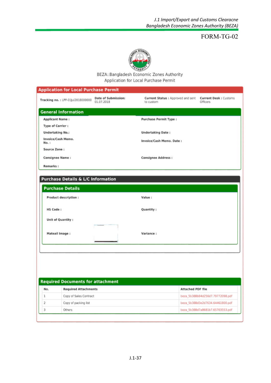

BEZA::Bangladesh Economic Zones Authority Application for Local Purchase Permit

| <b>Application for Local Purchase Permit</b>                            |                                                 |                                          |
|-------------------------------------------------------------------------|-------------------------------------------------|------------------------------------------|
| Date of Submission:<br>Tracking no. : LPP-01Jul2018000000<br>01.07.2018 | Current Status : Approved and sent<br>to custom | <b>Current Desk: Customs</b><br>Officers |
| <b>General Information</b>                                              |                                                 |                                          |
| <b>Applicant Name:</b>                                                  | <b>Purchase Permit Type:</b>                    |                                          |
| Type of Carrier:                                                        |                                                 |                                          |
| <b>Undertaking No.:</b>                                                 | <b>Undertaking Date:</b>                        |                                          |
| Invoice/Cash Memo.<br>No.:                                              | Invoice/Cash Memo. Date:                        |                                          |
| Source Zone:                                                            |                                                 |                                          |
| <b>Consignee Name:</b>                                                  | <b>Consignee Address:</b>                       |                                          |
| Remarks:                                                                |                                                 |                                          |
| Purchase Details & L/C Information<br><b>Purchase Details</b>           |                                                 |                                          |
| Product description:                                                    | Value:                                          |                                          |
| HS Code:                                                                | Quantity:                                       |                                          |
| Unit of Quantity:                                                       |                                                 |                                          |
| Mateail Image:                                                          | Variance:                                       |                                          |
|                                                                         |                                                 |                                          |

| <b>Required Documents for attachment</b> |                             |                                  |  |
|------------------------------------------|-----------------------------|----------------------------------|--|
| No.                                      | <b>Required Attachments</b> | <b>Attached PDF file</b>         |  |
|                                          | Copy of Sales Contract      | beza_5b388b94d256d7.79772098.pdf |  |
|                                          | Copy of packing list        | beza 5b388d3e2d7634.64461800.pdf |  |
|                                          | Others                      | beza 5b388d7a8681b7.65703553.pdf |  |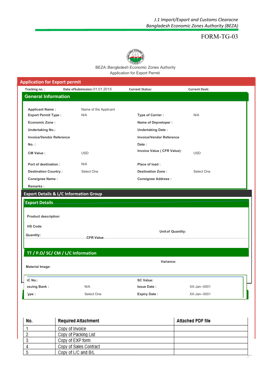

BEZA::Bangladesh Economic Zones Authority Application for Export Permit

| <b>Application for Export permit</b> |                                                   |                                 |                          |  |
|--------------------------------------|---------------------------------------------------|---------------------------------|--------------------------|--|
| Tracking no.:                        | Date of Submission: 01.01.201X                    | <b>Current Status:</b>          | <b>Current Desk:</b>     |  |
| <b>General Information</b>           |                                                   |                                 |                          |  |
|                                      |                                                   |                                 |                          |  |
| <b>Applicant Name:</b>               | Name of the Applicant<br>N/A                      |                                 | N/A                      |  |
| <b>Export Permit Type:</b>           |                                                   | <b>Type of Carrier:</b>         |                          |  |
| <b>Economic Zone:</b>                |                                                   | Name of Depveloper :            |                          |  |
| <b>Undertaking No.:</b>              |                                                   | <b>Undertaking Date:</b>        |                          |  |
| <b>Invoice/Vendor Reference</b>      |                                                   | <b>Invoice/Vendor Reference</b> |                          |  |
| $No.$ :                              |                                                   | Date:                           |                          |  |
| <b>CM Value:</b>                     | <b>USD</b>                                        | Invoice Value ( CFR Value):     | <b>USD</b>               |  |
| Port of destination:                 | N/A                                               | Place of load:                  |                          |  |
| <b>Destination Country:</b>          | Select One                                        | <b>Destination Zone:</b>        | Select One               |  |
| <b>Consignee Name:</b>               |                                                   | <b>Consignee Address:</b>       |                          |  |
| <b>Remarks:</b>                      |                                                   |                                 |                          |  |
|                                      | <b>Export Details &amp; L/C Information Group</b> |                                 |                          |  |
| <b>Export Details</b>                |                                                   |                                 |                          |  |
|                                      |                                                   |                                 |                          |  |
| Product description:                 |                                                   |                                 |                          |  |
|                                      |                                                   |                                 |                          |  |
| <b>HS Code:</b>                      |                                                   |                                 | <b>Unit of Quantity:</b> |  |
| <b>Quantity:</b>                     | <b>CFR Value</b>                                  |                                 |                          |  |
|                                      |                                                   |                                 |                          |  |
|                                      | TT / P.O/ SC/ CM / L/C Information                |                                 |                          |  |
|                                      |                                                   | Variance:                       |                          |  |
| <b>Material Image:</b>               |                                                   |                                 |                          |  |
| <b>C No.:</b>                        |                                                   | <b>SC Value:</b>                |                          |  |
| ssuing Bank:                         | N/A                                               | <b>Issue Date:</b>              | XX-Jan--0001             |  |
| ype :                                | Select One                                        | <b>Expiry Date:</b>             | XX-Jan--0001             |  |
|                                      |                                                   |                                 |                          |  |

| No. | <b>Required Attachment</b> | <b>Attached PDF file</b> |
|-----|----------------------------|--------------------------|
|     | Copy of Invoice            |                          |
|     | Copy of Packing List       |                          |
|     | Copy of EXP form           |                          |
|     | Copy of Sales Contract     |                          |
|     | Copy of L/C and B/L        |                          |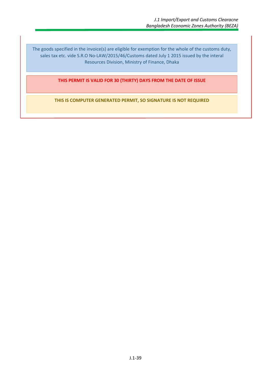The goods specified in the invoice(s) are eligible for exemption for the whole of the customs duty, sales tax etc. vide S.R.O No-LAW/2015/46/Customs dated July 1 2015 issued by the interal Resources Division, Ministry of Finance, Dhaka

**THIS PERMIT IS VALID FOR 30 (THIRTY) DAYS FROM THE DATE OF ISSUE**

**THIS IS COMPUTER GENERATED PERMIT, SO SIGNATURE IS NOT REQUIRED**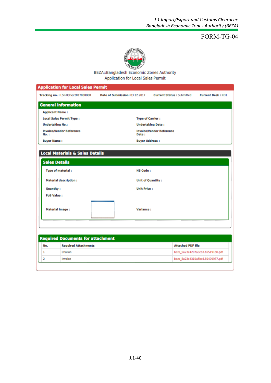

BEZA::Bangladesh Economic Zones Authority **Application for Local Sales Permit** 

|                         | <b>Application for Local Sales Permit</b> |                                |                                  |                                  |
|-------------------------|-------------------------------------------|--------------------------------|----------------------------------|----------------------------------|
|                         | Tracking no.: LSP-03Dec2017000000         | Date of Submission: 03.12.2017 | <b>Current Status: Submitted</b> | <b>Current Desk: RD1</b>         |
|                         | <b>General Information</b>                |                                |                                  |                                  |
| <b>Applicant Name:</b>  |                                           |                                |                                  |                                  |
|                         | <b>Local Sales Permit Type:</b>           |                                | <b>Type of Carrier:</b>          |                                  |
| <b>Undertaking No.:</b> |                                           |                                | <b>Undertaking Date:</b>         |                                  |
| No. :                   | <b>Invoice/Vendor Reference</b>           | Date:                          | <b>Invoice/Vendor Reference</b>  |                                  |
| <b>Buyer Name:</b>      |                                           |                                | <b>Buyer Address:</b>            |                                  |
| <b>Sales Details</b>    |                                           | <b>HS Code:</b>                |                                  |                                  |
|                         | <b>Type of material:</b>                  |                                |                                  |                                  |
|                         | <b>Material description:</b>              |                                | <b>Unit of Quantity:</b>         |                                  |
| Quantity:               |                                           | <b>Unit Price:</b>             |                                  |                                  |
| <b>FoB Value:</b>       |                                           |                                |                                  |                                  |
| <b>Material Image:</b>  |                                           | Variance:                      |                                  |                                  |
|                         | <b>Required Documents for attachment</b>  |                                |                                  |                                  |
| No.                     | <b>Required Attachments</b>               |                                | <b>Attached PDF file</b>         |                                  |
| 1                       | Challan                                   |                                |                                  | beza 5a23c4207a3cb3.65519160.pdf |
|                         |                                           |                                | beza 5a23c4319a5bc4.89409987.pdf |                                  |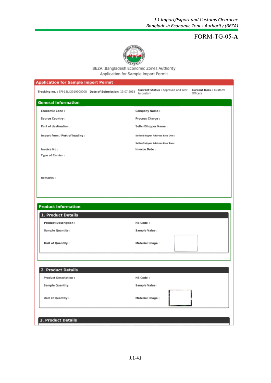## FORM-TG-05**-A**



BEZA::Bangladesh Economic Zones Authority Application for Sample Import Permit

| <b>Application for Sample Import Permit</b>                      |                                                 |                                   |
|------------------------------------------------------------------|-------------------------------------------------|-----------------------------------|
| Tracking no.: SPI-13Jul2019000000 Date of Submission: 13.07.2019 | Current Status : Approved and sent<br>to custom | Current Desk: Customs<br>Officers |
| <b>General Information</b>                                       |                                                 |                                   |
| <b>Economic Zone:</b>                                            | Company Name:                                   |                                   |
| Source Country:                                                  | Process Charge:                                 |                                   |
| Port of destination :                                            | Seller/Shipper Name:                            |                                   |
| Import from / Port of loading :                                  | Seller/Shipper Address Line One :               |                                   |
|                                                                  | Seller/Shipper Address Line Two :               |                                   |
| Invoice No:                                                      | Invoice Date:                                   |                                   |
| Type of Carrier:                                                 |                                                 |                                   |
| Remarks:                                                         |                                                 |                                   |
|                                                                  |                                                 |                                   |
| <b>Product Information</b>                                       |                                                 |                                   |
| 1. Product Details                                               |                                                 |                                   |
| <b>Product Description:</b>                                      | HS Code:                                        |                                   |
| Sample Quantity:                                                 | Sample Value:                                   |                                   |
| Unit of Quantity:                                                | Material Image:                                 |                                   |
|                                                                  |                                                 |                                   |
| 2. Product Details                                               |                                                 |                                   |
| <b>Product Description:</b>                                      | HS Code:                                        |                                   |
| Sample Quantity:                                                 | Sample Value:                                   |                                   |
| Unit of Quantity:                                                | Material Image:                                 |                                   |
| 3. Product Details                                               |                                                 |                                   |
|                                                                  |                                                 |                                   |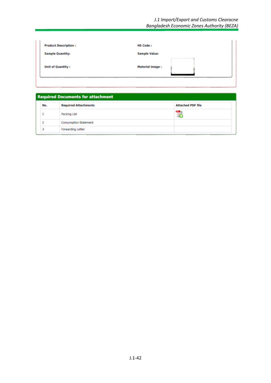| <b>Product Description:</b> | <b>HS Code:</b>        |
|-----------------------------|------------------------|
| <b>Sample Quantity:</b>     | <b>Sample Value:</b>   |
| <b>Unit of Quantity:</b>    | <b>Material Image:</b> |
|                             |                        |

#### **Required Documents for attachment Required Attachments Attached PDF file** No.  $\mathbb{Z}$  $\mathbf 1$ Packing List  $\bar{z}$ **Consumption Statement** 3 Forwarding Letter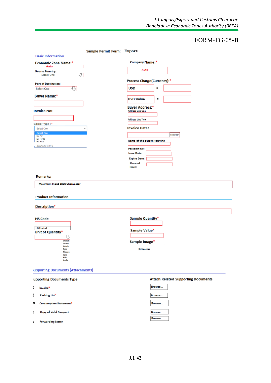# FORM-TG-05**-B**

|                                                                            | Sample Permit Form: Export |                                                   |
|----------------------------------------------------------------------------|----------------------------|---------------------------------------------------|
| <b>Basic Information</b>                                                   |                            |                                                   |
| <b>Economic Zone Name:*</b>                                                |                            | Company Name:*                                    |
| Auto                                                                       |                            | Auto                                              |
| <b>Source Country:</b><br>↔<br>Select One                                  |                            |                                                   |
|                                                                            |                            | Process Charge(Currency):*                        |
| <b>Port of Destination:</b>                                                |                            |                                                   |
| ⇩<br>Select One                                                            |                            | <b>USD</b><br>н                                   |
| <b>Buyer Name:*</b>                                                        |                            | Ξ                                                 |
|                                                                            |                            | <b>USD Value</b>                                  |
| <b>Invoice No:</b>                                                         |                            | <b>Buyer Address:*</b><br><b>Address Line One</b> |
|                                                                            |                            |                                                   |
| Carrier Type: *                                                            |                            | <b>Address Line Two</b>                           |
| Select One                                                                 |                            | <b>Invoice Date:</b>                              |
| <b>Salect One</b>                                                          |                            | Calendar                                          |
| By Air<br>By Road                                                          |                            | Name of the person carrying                       |
| <b>By Sea</b><br>By Hand Carry                                             |                            |                                                   |
|                                                                            |                            | Passport No:                                      |
|                                                                            |                            | <b>Issue Date:</b>                                |
|                                                                            |                            | <b>Expire Date:</b><br>Place of                   |
|                                                                            |                            | ssue:                                             |
|                                                                            |                            |                                                   |
| <b>Remarks:</b>                                                            |                            |                                                   |
| Maximum Input 1000 Characcter                                              |                            |                                                   |
| <b>Product Information</b><br>Description*                                 |                            |                                                   |
| <b>HS Code</b>                                                             |                            | Sample Quantity*                                  |
|                                                                            |                            |                                                   |
| <b>HS Product</b>                                                          |                            |                                                   |
| Unit of Quantity*                                                          |                            | Sample Value*                                     |
| ₩<br>Dozen                                                                 |                            |                                                   |
| Gram<br>Kelvin                                                             |                            | Sample Image*                                     |
| <b>Box</b><br>Pieces                                                       |                            | <b>Browse</b>                                     |
| Ton<br>KGs                                                                 |                            |                                                   |
| Joule                                                                      |                            |                                                   |
| <b>Supporting Documents (Attachments)</b>                                  |                            |                                                   |
|                                                                            |                            | <b>Attach Related Supporting Documents</b>        |
| Invoice*                                                                   |                            | Browse                                            |
| Packing List*                                                              |                            | Browse                                            |
| supporting Documents Type<br>o<br>J<br>o,<br><b>Consumption Statement*</b> |                            | Browse                                            |
| <b>Copy of Valid Passport</b><br>o                                         |                            | Browse<br>Browse                                  |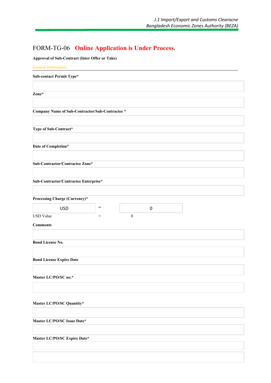# FORM-TG-06 **Online Application is Under Process.**

**Approval of Sub-Contract (Inter Offer or Take)**

| <b>General Information</b>                      |                                     |                  |           |  |
|-------------------------------------------------|-------------------------------------|------------------|-----------|--|
| <b>Sub-contact Permit Type*</b>                 |                                     |                  |           |  |
|                                                 |                                     |                  |           |  |
| Zone*                                           |                                     |                  |           |  |
|                                                 |                                     |                  |           |  |
| Company Name of Sub-Contractor/Sub-Contractee * |                                     |                  |           |  |
|                                                 |                                     |                  |           |  |
| Type of Sub-Contract*                           |                                     |                  |           |  |
|                                                 |                                     |                  |           |  |
| Date of Completion*                             |                                     |                  |           |  |
| Sub-Contractor/Contractee Zone*                 |                                     |                  |           |  |
|                                                 |                                     |                  |           |  |
| Sub-Contractor/Contractee Enterprise*           |                                     |                  |           |  |
|                                                 |                                     |                  |           |  |
| <b>Processing Charge (Currency)*</b>            |                                     |                  |           |  |
| <b>USD</b>                                      | $\hspace*{0.4em} = \hspace*{0.4em}$ |                  | $\pmb{0}$ |  |
| <b>USD</b> Value                                | $=$                                 | $\boldsymbol{0}$ |           |  |
| <b>Comments</b>                                 |                                     |                  |           |  |
|                                                 |                                     |                  |           |  |
| <b>Bond License No.</b>                         |                                     |                  |           |  |
|                                                 |                                     |                  |           |  |
| <b>Bond License Expire Date</b>                 |                                     |                  |           |  |
|                                                 |                                     |                  |           |  |
| Master LC/PO/SC no.*                            |                                     |                  |           |  |
|                                                 |                                     |                  |           |  |
| Master LC/PO/SC Quantity*                       |                                     |                  |           |  |
|                                                 |                                     |                  |           |  |
| Master LC/PO/SC Issue Date*                     |                                     |                  |           |  |
|                                                 |                                     |                  |           |  |
| Master LC/PO/SC Expire Date*                    |                                     |                  |           |  |
|                                                 |                                     |                  |           |  |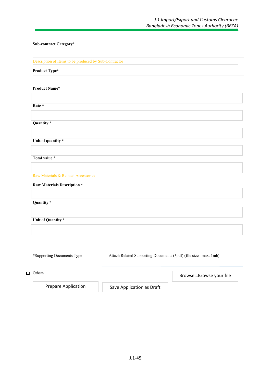| Sub-contract Category*                                |                                                                 |                        |
|-------------------------------------------------------|-----------------------------------------------------------------|------------------------|
|                                                       |                                                                 |                        |
| Description of Items to be produced by Sub-Contractor |                                                                 |                        |
| Product Type*                                         |                                                                 |                        |
|                                                       |                                                                 |                        |
| <b>Product Name*</b>                                  |                                                                 |                        |
|                                                       |                                                                 |                        |
| Rate *                                                |                                                                 |                        |
|                                                       |                                                                 |                        |
| Quantity*                                             |                                                                 |                        |
|                                                       |                                                                 |                        |
| Unit of quantity *                                    |                                                                 |                        |
| Total value *                                         |                                                                 |                        |
|                                                       |                                                                 |                        |
| Raw Materials & Related Accessories                   |                                                                 |                        |
| <b>Raw Materials Description *</b>                    |                                                                 |                        |
|                                                       |                                                                 |                        |
| Quantity *                                            |                                                                 |                        |
|                                                       |                                                                 |                        |
| Unit of Quantity *                                    |                                                                 |                        |
|                                                       |                                                                 |                        |
|                                                       |                                                                 |                        |
|                                                       |                                                                 |                        |
| #Supporting Documents Type                            | Attach Related Supporting Documents (*pdf) (file size max. 1mb) |                        |
|                                                       |                                                                 |                        |
| $\Box$ Others                                         |                                                                 | BrowseBrowse your file |

Prepare Application **Save Application as Draft**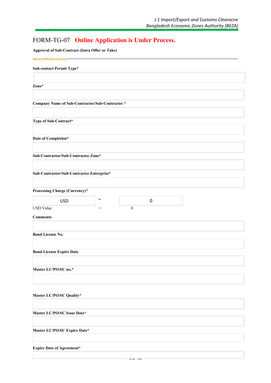# FORM-TG-07 **Online Application is Under Process.**

**Approval of Sub-Contract (Intra Offer or Take)**

| <b>General Information</b>                                                  |
|-----------------------------------------------------------------------------|
|                                                                             |
| Sub-contact Permit Type*                                                    |
|                                                                             |
|                                                                             |
| Zone*                                                                       |
|                                                                             |
|                                                                             |
| Company Name of Sub-Contractor/Sub-Contractee *                             |
|                                                                             |
|                                                                             |
| Type of Sub-Contract*                                                       |
|                                                                             |
|                                                                             |
| Date of Completion*                                                         |
|                                                                             |
| Sub-Contractor/Sub-Contractee Zone*                                         |
|                                                                             |
|                                                                             |
| Sub-Contractor/Sub-Contractee Enterprise*                                   |
|                                                                             |
|                                                                             |
| Processing Charge (Currency)*                                               |
|                                                                             |
| $\qquad \qquad =$<br><b>USD</b><br>$\boldsymbol{0}$                         |
| <b>USD Value</b><br>$\boldsymbol{0}$<br>$\hspace*{0.4em} = \hspace*{0.4em}$ |
|                                                                             |
| <b>Comments</b>                                                             |
|                                                                             |
| <b>Bond License No.</b>                                                     |
|                                                                             |
|                                                                             |
| <b>Bond License Expire Date</b>                                             |
|                                                                             |
|                                                                             |
| Master LC/PO/SC no.*                                                        |
|                                                                             |
|                                                                             |
|                                                                             |
|                                                                             |
| Master LC/PO/SC Quality*                                                    |
|                                                                             |
| Master LC/PO/SC Issue Date*                                                 |
|                                                                             |
|                                                                             |
| Master LC/PO/SC Expire Date*                                                |
|                                                                             |
|                                                                             |
| <b>Expire Date of Agreement*</b>                                            |
|                                                                             |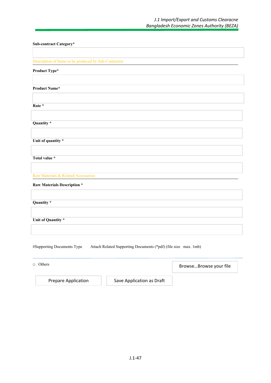| Sub-contract Category*                                                                        |
|-----------------------------------------------------------------------------------------------|
|                                                                                               |
| Description of Items to be produced by Sub-Contractor                                         |
| Product Type*                                                                                 |
|                                                                                               |
| <b>Product Name*</b>                                                                          |
|                                                                                               |
| Rate *                                                                                        |
|                                                                                               |
| Quantity *                                                                                    |
|                                                                                               |
| Unit of quantity *                                                                            |
|                                                                                               |
| Total value *                                                                                 |
|                                                                                               |
| Raw Materials & Related Accessories                                                           |
| <b>Raw Materials Description *</b>                                                            |
|                                                                                               |
| Quantity *                                                                                    |
|                                                                                               |
| Unit of Quantity *                                                                            |
|                                                                                               |
|                                                                                               |
| #Supporting Documents Type<br>Attach Related Supporting Documents (*pdf) (file size max. 1mb) |
|                                                                                               |

□ Others Prepare Application Save Application as Draft Browse…Browse your file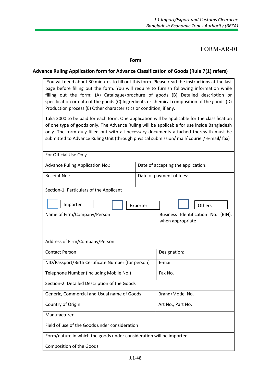FORM-AR-01

**Form**

#### **Advance Ruling Application form for Advance Classification of Goods (Rule 7(1) refers)**

| You will need about 30 minutes to fill out this form. Please read the instructions at the last |  |  |
|------------------------------------------------------------------------------------------------|--|--|
| page before filling out the form. You will require to furnish following information while      |  |  |
| filling out the form: (A) Catalogue/brochure of goods (B) Detailed description or              |  |  |
| specification or data of the goods (C) Ingredients or chemical composition of the goods (D)    |  |  |
| Production process (E) Other characteristics or condition, if any.                             |  |  |
|                                                                                                |  |  |

Taka 2000 to be paid for each form. One application will be applicable for the classification of one type of goods only. The Advance Ruling will be applicable for use inside Bangladesh only. The form duly filled out with all necessary documents attached therewith must be submitted to Advance Ruling Unit (through physical submission/ mail/ courier/ e-mail/ fax)

| <b>Advance Ruling Application No.:</b>                              | Date of accepting the application:                     |
|---------------------------------------------------------------------|--------------------------------------------------------|
| Receipt No.:                                                        | Date of payment of fees:                               |
| Section-1: Particulars of the Applicant                             |                                                        |
| Importer                                                            | Others<br>Exporter                                     |
| Name of Firm/Company/Person                                         | Business Identification No. (BIN),<br>when appropriate |
|                                                                     |                                                        |
| Address of Firm/Company/Person                                      |                                                        |
| <b>Contact Person:</b>                                              | Designation:                                           |
| NID/Passport/Birth Certificate Number (for person)                  | E-mail                                                 |
| Telephone Number (including Mobile No.)                             | Fax No.                                                |
| Section-2: Detailed Description of the Goods                        |                                                        |
| Generic, Commercial and Usual name of Goods                         | Brand/Model No.                                        |
| Country of Origin                                                   | Art No., Part No.                                      |
| Manufacturer                                                        |                                                        |
| Field of use of the Goods under consideration                       |                                                        |
| Form/nature in which the goods under consideration will be imported |                                                        |
| <b>Composition of the Goods</b>                                     |                                                        |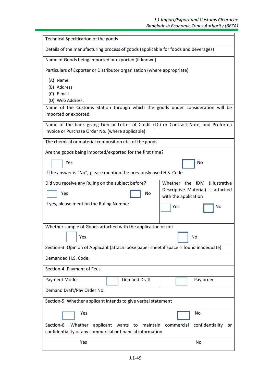| Technical Specification of the goods                                                                                                                   |                                                           |  |  |  |
|--------------------------------------------------------------------------------------------------------------------------------------------------------|-----------------------------------------------------------|--|--|--|
| Details of the manufacturing process of goods (applicable for foods and beverages)                                                                     |                                                           |  |  |  |
| Name of Goods being imported or exported (if known)                                                                                                    |                                                           |  |  |  |
| Particulars of Exporter or Distributor organization (where appropriate)                                                                                |                                                           |  |  |  |
| (A) Name:                                                                                                                                              |                                                           |  |  |  |
| (B) Address:                                                                                                                                           |                                                           |  |  |  |
| (C) E-mail<br>(D) Web Address:                                                                                                                         |                                                           |  |  |  |
| Name of the Customs Station through which the goods under consideration will be<br>imported or exported.                                               |                                                           |  |  |  |
| Name of the bank giving Lien or Letter of Credit (LC) or Contract Note, and Proforma<br>Invoice or Purchase Order No. (where applicable)               |                                                           |  |  |  |
| The chemical or material composition etc. of the goods                                                                                                 |                                                           |  |  |  |
| Are the goods being imported/exported for the first time?                                                                                              |                                                           |  |  |  |
| Yes<br>No                                                                                                                                              |                                                           |  |  |  |
| If the answer is "No", please mention the previously used H.S. Code                                                                                    |                                                           |  |  |  |
| Did you receive any Ruling on the subject before?<br>Whether the IDM<br>(Illustrative                                                                  |                                                           |  |  |  |
| Yes<br>No                                                                                                                                              | Descriptive Material) is attached<br>with the application |  |  |  |
| If yes, please mention the Ruling Number                                                                                                               | Yes<br>No                                                 |  |  |  |
|                                                                                                                                                        |                                                           |  |  |  |
| Whether sample of Goods attached with the application or not                                                                                           |                                                           |  |  |  |
| Yes                                                                                                                                                    | No                                                        |  |  |  |
| Section-3: Opinion of Applicant (attach loose paper sheet if space is found inadequate)                                                                |                                                           |  |  |  |
| Demanded H.S. Code:                                                                                                                                    |                                                           |  |  |  |
| Section-4: Payment of Fees                                                                                                                             |                                                           |  |  |  |
| <b>Demand Draft</b><br>Payment Mode:                                                                                                                   | Pay order                                                 |  |  |  |
| Demand Draft/Pay Order No.                                                                                                                             |                                                           |  |  |  |
| Section-5: Whether applicant intends to give verbal statement                                                                                          |                                                           |  |  |  |
| Yes                                                                                                                                                    | No                                                        |  |  |  |
| Section-6:<br>Whether<br>applicant wants to maintain<br>confidentiality or<br>commercial<br>confidentiality of any commercial or financial information |                                                           |  |  |  |
| Yes                                                                                                                                                    | No                                                        |  |  |  |
|                                                                                                                                                        |                                                           |  |  |  |